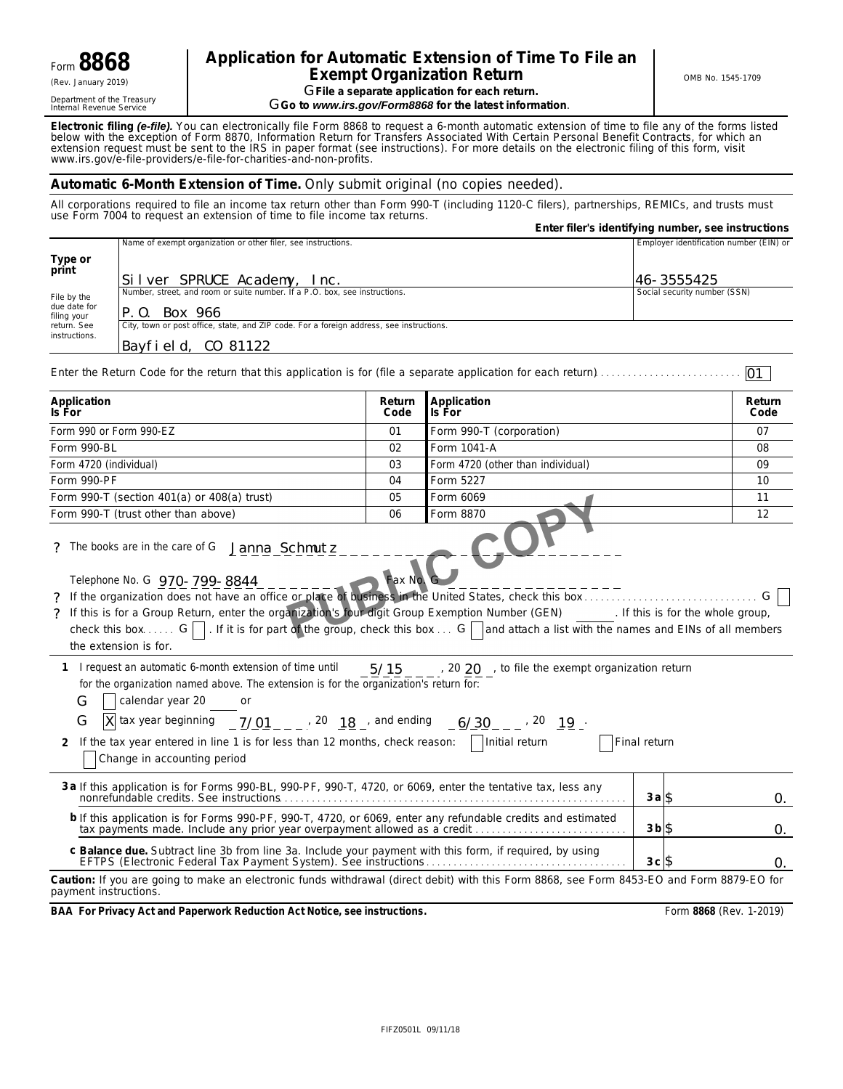Department of the Treasury<br>Internal Revenue Service

# Form **8868 Extension of Time To File an Exempt Organization Return Exempt Organization Return Exempt Organization Return CRENT CONB No. 1545-1709 GFile a separate application for each return.**

 $G$ Go to *www.irs.gov/Form8868* for the latest information.

**Electronic filing** *(e-file).* You can electronically file Form 8868 to request a 6-month automatic extension of time to file any of the forms listed below with the exception of Form 8870, Information Return for Transfers Associated With Certain Personal Benefit Contracts, for which an extension request must be sent to the IRS in paper format (see instructions). For more details on the electronic filing of this form, visit *www.irs.gov/e*-*file*-*providers/e-file-for-charities-and-non-profits*.

# **Automatic 6-Month Extension of Time.** Only submit original (no copies needed).

All corporations required to file an income tax return other than Form 990-T (including 1120-C filers), partnerships, REMICs, and trusts must use Form 7004 to request an extension of time to file income tax returns.

|                             |                                                                                                                                                                                                                                                                                                                                                                                                                                              |                | Enter filer's identifying number, see instructions    |                    |                                         |            |  |
|-----------------------------|----------------------------------------------------------------------------------------------------------------------------------------------------------------------------------------------------------------------------------------------------------------------------------------------------------------------------------------------------------------------------------------------------------------------------------------------|----------------|-------------------------------------------------------|--------------------|-----------------------------------------|------------|--|
|                             | Name of exempt organization or other filer, see instructions.                                                                                                                                                                                                                                                                                                                                                                                |                |                                                       |                    | Employer identification number (EIN) or |            |  |
| Type or                     |                                                                                                                                                                                                                                                                                                                                                                                                                                              |                |                                                       |                    |                                         |            |  |
| print                       | Silver SPRUCE Academy, Inc.                                                                                                                                                                                                                                                                                                                                                                                                                  |                |                                                       |                    | 46-3555425                              |            |  |
| File by the                 | Number, street, and room or suite number. If a P.O. box, see instructions.                                                                                                                                                                                                                                                                                                                                                                   |                |                                                       |                    | Social security number (SSN)            |            |  |
| due date for<br>filing your | P.O. Box 966                                                                                                                                                                                                                                                                                                                                                                                                                                 |                |                                                       |                    |                                         |            |  |
| return. See<br>instructions | City, town or post office, state, and ZIP code. For a foreign address, see instructions.                                                                                                                                                                                                                                                                                                                                                     |                |                                                       |                    |                                         |            |  |
|                             | Bayfield, CO 81122                                                                                                                                                                                                                                                                                                                                                                                                                           |                |                                                       |                    |                                         |            |  |
|                             |                                                                                                                                                                                                                                                                                                                                                                                                                                              |                |                                                       |                    |                                         | 01         |  |
| Application                 |                                                                                                                                                                                                                                                                                                                                                                                                                                              | Return         | Application                                           |                    |                                         | Return     |  |
| Is For                      |                                                                                                                                                                                                                                                                                                                                                                                                                                              | Code           | Is For                                                |                    |                                         | Code       |  |
|                             | Form 990 or Form 990-EZ                                                                                                                                                                                                                                                                                                                                                                                                                      | 01             | Form 990-T (corporation)                              |                    |                                         | 07         |  |
| Form 990-BL                 |                                                                                                                                                                                                                                                                                                                                                                                                                                              | 02             | Form 1041-A                                           |                    |                                         | 08         |  |
| Form 4720 (individual)      |                                                                                                                                                                                                                                                                                                                                                                                                                                              | 03             | Form 4720 (other than individual)                     |                    |                                         | 09         |  |
| Form 990-PF                 |                                                                                                                                                                                                                                                                                                                                                                                                                                              | 04<br>05       | Form 5227<br>Form 6069                                |                    |                                         | 10<br>11   |  |
|                             | Form 990-T (section 401(a) or 408(a) trust)<br>Form 990-T (trust other than above)                                                                                                                                                                                                                                                                                                                                                           | 06             | Form 8870                                             |                    |                                         |            |  |
|                             |                                                                                                                                                                                                                                                                                                                                                                                                                                              |                |                                                       |                    |                                         | 12         |  |
|                             | Telephone No. G 970-799-8844<br>? If the organization does not have an office or place of business in the United States, check this box<br>? If this is for a Group Return, enter the organization's four digit Group Exemption Number (GEN) [f this is for the whole group,<br>check this box G $\Box$ . If it is for part of the group, check this box G and attach a list with the names and EINs of all members<br>the extension is for. | <b>Fax No.</b> |                                                       |                    |                                         |            |  |
| G<br>G<br>2                 | 1 I request an automatic 6-month extension of time until<br>for the organization named above. The extension is for the organization's return for:<br>calendar year 20 or<br> X  tax year beginning $\frac{7}{01}$ _ _ $\frac{1}{2}$ , 20 $\frac{18}{18}$ and ending $\frac{6}{30}$ _ _ $\frac{12}{19}$ .<br>If the tax year entered in line 1 is for less than 12 months, check reason:     Initial return<br>Change in accounting period    |                | 5/15 / 20 20 , to file the exempt organization return | Final return       |                                         |            |  |
|                             | 3 a If this application is for Forms 990-BL, 990-PF, 990-T, 4720, or 6069, enter the tentative tax, less any                                                                                                                                                                                                                                                                                                                                 |                |                                                       | $3a$ \$            |                                         | 0.         |  |
|                             | b If this application is for Forms 990-PF, 990-T, 4720, or 6069, enter any refundable credits and estimated<br>tax payments made. Include any prior year overpayment allowed as a credit                                                                                                                                                                                                                                                     |                |                                                       | $3b$ $\frac{3}{5}$ |                                         | $\Omega$ . |  |
|                             | c Balance due. Subtract line 3b from line 3a. Include your payment with this form, if required, by using                                                                                                                                                                                                                                                                                                                                     |                |                                                       | $3c$ $\frac{6}{3}$ |                                         | Ω.         |  |
| payment instructions.       | Caution: If you are going to make an electronic funds withdrawal (direct debit) with this Form 8868, see Form 8453-EO and Form 8879-EO for                                                                                                                                                                                                                                                                                                   |                |                                                       |                    |                                         |            |  |

**BAA For Privacy Act and Paperwork Reduction Act Notice, see instructions.** Form 8868 (Rev. 1-2019)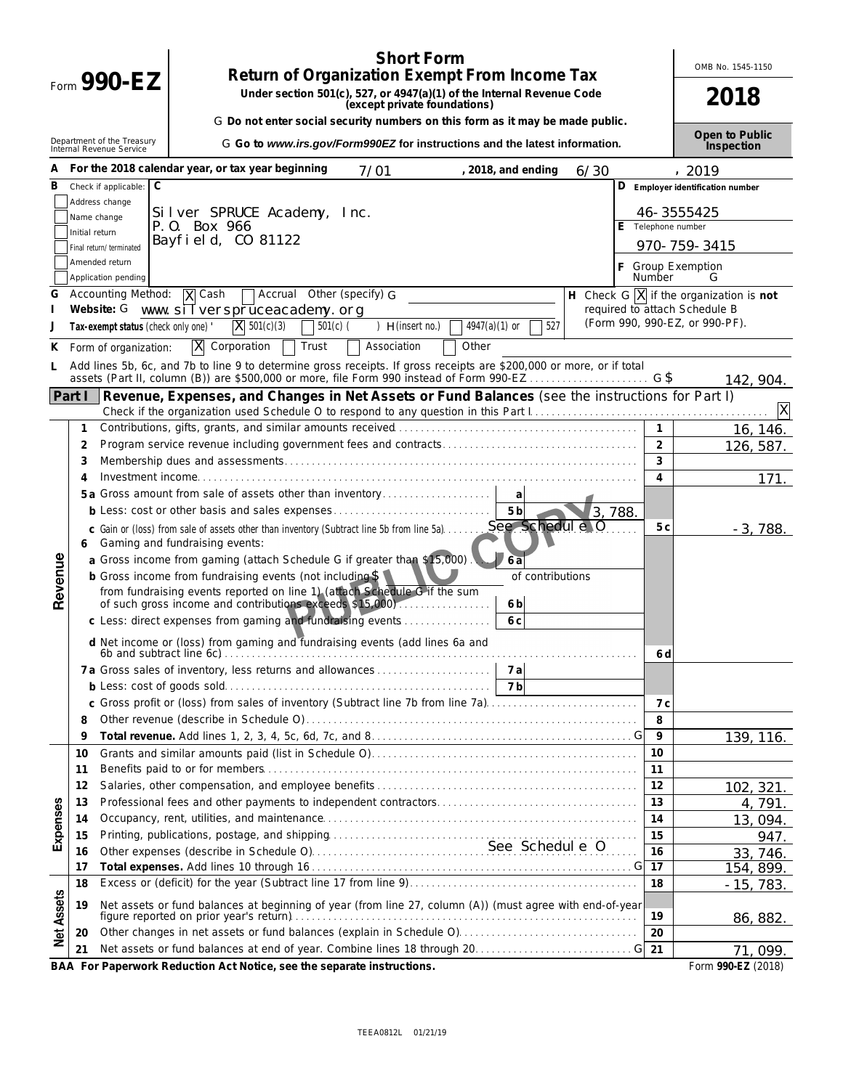| <b>Short Form</b>                                                                                                                    |                |                                      |                                                                                                                                                                               |        |                    |                                                                                      |  |  |  |
|--------------------------------------------------------------------------------------------------------------------------------------|----------------|--------------------------------------|-------------------------------------------------------------------------------------------------------------------------------------------------------------------------------|--------|--------------------|--------------------------------------------------------------------------------------|--|--|--|
|                                                                                                                                      |                | Form $990-EZ$                        | <b>Return of Organization Exempt From Income Tax</b><br>Under section 501(c), 527, or 4947(a)(1) of the Internal Revenue Code                                                 |        |                    |                                                                                      |  |  |  |
|                                                                                                                                      |                |                                      | (except private foundations)                                                                                                                                                  |        |                    | 2018                                                                                 |  |  |  |
|                                                                                                                                      |                |                                      | G Do not enter social security numbers on this form as it may be made public.                                                                                                 |        |                    | Open to Public                                                                       |  |  |  |
| Department of the Treasury<br>Internal Revenue Service<br>G Go to www.irs.gov/Form990EZ for instructions and the latest information. |                |                                      |                                                                                                                                                                               |        |                    |                                                                                      |  |  |  |
| А                                                                                                                                    |                |                                      | For the 2018 calendar year, or tax year beginning<br>, 2018, and ending<br>7/01                                                                                               | 6/30   |                    | , 2019                                                                               |  |  |  |
| в                                                                                                                                    |                | C<br>Check if applicable:            |                                                                                                                                                                               | D      |                    | Employer identification number                                                       |  |  |  |
|                                                                                                                                      |                | Address change                       | Silver SPRUCE Academy, Inc.                                                                                                                                                   |        |                    | 46-3555425                                                                           |  |  |  |
|                                                                                                                                      | Initial return | Name change                          | P.O. Box 966                                                                                                                                                                  |        | E Telephone number |                                                                                      |  |  |  |
|                                                                                                                                      |                | Final return/terminated              | Bayfield, CO 81122                                                                                                                                                            |        |                    | 970-759-3415                                                                         |  |  |  |
|                                                                                                                                      |                | Amended return                       |                                                                                                                                                                               |        | F Group Exemption  |                                                                                      |  |  |  |
|                                                                                                                                      |                | Application pending                  |                                                                                                                                                                               |        | Number             | G                                                                                    |  |  |  |
| G                                                                                                                                    |                | <b>Accounting Method:</b>            | X Cash<br>Accrual Other (specify) G<br>Website: G www. sill verspruceacademy. org                                                                                             |        |                    | H Check G $\overline{X}$ if the organization is not<br>required to attach Schedule B |  |  |  |
| J                                                                                                                                    |                | Tax-exempt status (check only one) ' | $\overline{X}$ 501(c)(3)<br>$)$ H(insert no.)<br>$4947(a)(1)$ or<br>527<br>$501(c)$ (                                                                                         |        |                    | (Form 990, 990-EZ, or 990-PF).                                                       |  |  |  |
| К                                                                                                                                    |                | Form of organization:                | X<br>Corporation<br>Association<br>Trust<br>Other                                                                                                                             |        |                    |                                                                                      |  |  |  |
| L.                                                                                                                                   |                |                                      | Add lines 5b, 6c, and 7b to line 9 to determine gross receipts. If gross receipts are \$200,000 or more, or if total                                                          |        |                    |                                                                                      |  |  |  |
|                                                                                                                                      |                |                                      | assets (Part II, column (B)) are \$500,000 or more, file Form 990 instead of Form 990-EZ                                                                                      |        |                    | 142, 904.                                                                            |  |  |  |
|                                                                                                                                      | Part I         |                                      | Revenue, Expenses, and Changes in Net Assets or Fund Balances (see the instructions for Part I)                                                                               |        |                    |                                                                                      |  |  |  |
|                                                                                                                                      |                |                                      |                                                                                                                                                                               |        | $\mathbf{1}$       | X                                                                                    |  |  |  |
|                                                                                                                                      | 1<br>2         |                                      |                                                                                                                                                                               |        | $\overline{2}$     | 16, 146.                                                                             |  |  |  |
|                                                                                                                                      | 3              |                                      |                                                                                                                                                                               |        | 3                  | 126, 587.                                                                            |  |  |  |
|                                                                                                                                      | 4              |                                      |                                                                                                                                                                               |        | 4                  | 171.                                                                                 |  |  |  |
|                                                                                                                                      |                |                                      | 5a Gross amount from sale of assets other than inventory<br>a                                                                                                                 |        |                    |                                                                                      |  |  |  |
|                                                                                                                                      |                |                                      | 5 <sub>b</sub>                                                                                                                                                                | 3,788. |                    |                                                                                      |  |  |  |
|                                                                                                                                      |                |                                      | See Schedul e 0<br>c Gain or (loss) from sale of assets other than inventory (Subtract line 5b from line 5a)                                                                  |        | 5c                 | $-3,788.$                                                                            |  |  |  |
|                                                                                                                                      | 6              |                                      | Gaming and fundraising events:                                                                                                                                                |        |                    |                                                                                      |  |  |  |
|                                                                                                                                      |                |                                      | a Gross income from gaming (attach Schedule G if greater than \$15,000).<br>$6\bar{a}$<br><b>b</b> Gross income from fundraising events (not including \$<br>of contributions |        |                    |                                                                                      |  |  |  |
| Revenue                                                                                                                              |                |                                      | from fundraising events reported on line 1) (attach Schedule G if the sum                                                                                                     |        |                    |                                                                                      |  |  |  |
|                                                                                                                                      |                |                                      | of such gross income and contributions exceeds \$15,000).<br>6 <sub>b</sub>                                                                                                   |        |                    |                                                                                      |  |  |  |
|                                                                                                                                      |                |                                      | c Less: direct expenses from gaming and fundraising events<br>6 c                                                                                                             |        |                    |                                                                                      |  |  |  |
|                                                                                                                                      |                |                                      | d Net income or (loss) from gaming and fundraising events (add lines 6a and                                                                                                   |        | 6 d                |                                                                                      |  |  |  |
|                                                                                                                                      |                |                                      |                                                                                                                                                                               |        |                    |                                                                                      |  |  |  |
|                                                                                                                                      |                |                                      | 7 b                                                                                                                                                                           |        |                    |                                                                                      |  |  |  |
|                                                                                                                                      | 8              |                                      | c Gross profit or (loss) from sales of inventory (Subtract line 7b from line 7a).                                                                                             |        | 7 c<br>8           |                                                                                      |  |  |  |
|                                                                                                                                      | 9              |                                      |                                                                                                                                                                               |        | 9                  | 139, 116.                                                                            |  |  |  |
|                                                                                                                                      | 10             |                                      |                                                                                                                                                                               |        | 10                 |                                                                                      |  |  |  |
|                                                                                                                                      | 11             |                                      |                                                                                                                                                                               |        | 11                 |                                                                                      |  |  |  |
|                                                                                                                                      | 12             |                                      |                                                                                                                                                                               |        | 12                 | 102, 321.                                                                            |  |  |  |
| Expenses                                                                                                                             | 13             |                                      |                                                                                                                                                                               |        | 13                 | 4, 791.                                                                              |  |  |  |
|                                                                                                                                      | 14             |                                      |                                                                                                                                                                               |        | 14                 | 13,094.                                                                              |  |  |  |
|                                                                                                                                      | 15             |                                      |                                                                                                                                                                               |        | 15<br>16           | 947.                                                                                 |  |  |  |
|                                                                                                                                      | 16<br>17       |                                      |                                                                                                                                                                               |        | 17                 | 33, 746.<br>154, 899.                                                                |  |  |  |
|                                                                                                                                      | 18             |                                      |                                                                                                                                                                               |        | 18                 | $-15, 783.$                                                                          |  |  |  |
| Net Assets                                                                                                                           | 19             |                                      | Net assets or fund balances at beginning of year (from line 27, column (A)) (must agree with end-of-year                                                                      |        |                    |                                                                                      |  |  |  |
|                                                                                                                                      |                |                                      | figure reported on prior year's return).                                                                                                                                      |        | 19                 | 86, 882.                                                                             |  |  |  |
|                                                                                                                                      | 20             |                                      |                                                                                                                                                                               |        | 20                 |                                                                                      |  |  |  |
|                                                                                                                                      | 21             |                                      |                                                                                                                                                                               |        | 21                 | 71,099.                                                                              |  |  |  |

**BAA For Paperwork Reduction Act Notice, see the separate instructions. Form 990-EZ (2018)** Form 990-EZ (2018)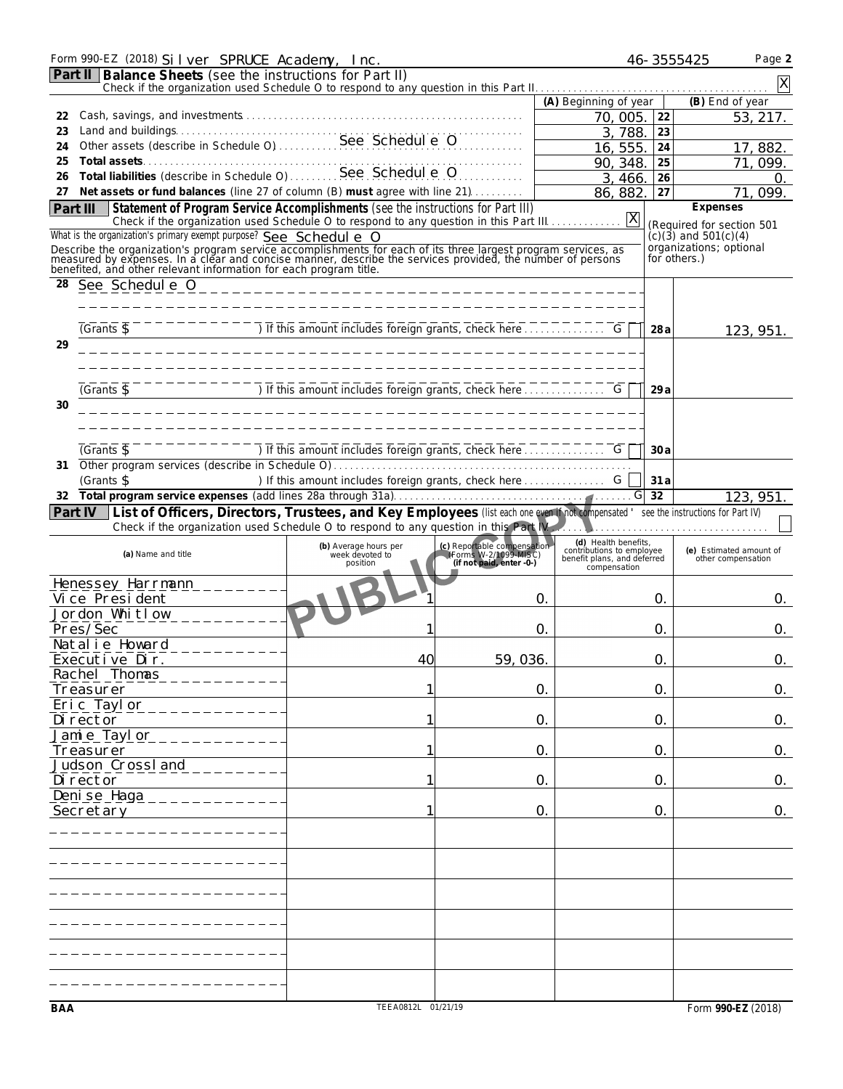|          | Form 990-EZ (2018) Silver SPRUCE Academy, Inc.                                                                                                                                                                                        |                                                                                    |                                                                                  |                                                          |               | 46-3555425<br>Page 2                                 |
|----------|---------------------------------------------------------------------------------------------------------------------------------------------------------------------------------------------------------------------------------------|------------------------------------------------------------------------------------|----------------------------------------------------------------------------------|----------------------------------------------------------|---------------|------------------------------------------------------|
|          | <b>Part II Balance Sheets</b> (see the instructions for Part II)                                                                                                                                                                      |                                                                                    |                                                                                  |                                                          |               |                                                      |
|          |                                                                                                                                                                                                                                       |                                                                                    |                                                                                  | (A) Beginning of year                                    |               | (B) End of year                                      |
| 22       |                                                                                                                                                                                                                                       |                                                                                    |                                                                                  | 70,005.                                                  | 22            | 53, 217.                                             |
| 23       | Land and buildings<br>Other assets (describe in Schedule O)<br>See Schedul e O                                                                                                                                                        |                                                                                    |                                                                                  | 3,788.                                                   | 23            |                                                      |
| 24<br>25 |                                                                                                                                                                                                                                       |                                                                                    |                                                                                  | 16, 555.                                                 | 24            | 17,882                                               |
| 26       | Total assets<br>Total liabilities (describe in Schedule O)<br>See Schedul e O                                                                                                                                                         |                                                                                    |                                                                                  | 90, 348<br>3, 466.                                       | 25<br>26      | 71.<br>099<br>O.                                     |
| 27       | Net assets or fund balances (line 27 of column (B) must agree with line 21)                                                                                                                                                           |                                                                                    |                                                                                  | 86, 882.                                                 | 27            | 099.<br>71.                                          |
|          | Statement of Program Service Accomplishments (see the instructions for Part III)<br>Part III                                                                                                                                          |                                                                                    |                                                                                  |                                                          |               | Expenses                                             |
|          | Check if the organization used Schedule O to respond to any question in this Part III.<br>What is the organization's primary exempt purpose? See Schedul e 0                                                                          |                                                                                    |                                                                                  | X                                                        |               | (Required for section 501                            |
|          |                                                                                                                                                                                                                                       |                                                                                    |                                                                                  |                                                          |               | $(c)(3)$ and 501 $(c)(4)$<br>organizations; optional |
|          | Describe the organization's program service accomplishments for each of its three largest program services, as<br>measured by expenses. In a clear and concise manner, describe the services provided, the number of persons<br>bene  |                                                                                    |                                                                                  |                                                          |               | for others.)                                         |
| 28       | See Schedul e 0                                                                                                                                                                                                                       | ------------------------------------                                               |                                                                                  |                                                          |               |                                                      |
|          |                                                                                                                                                                                                                                       |                                                                                    |                                                                                  |                                                          |               |                                                      |
|          |                                                                                                                                                                                                                                       |                                                                                    |                                                                                  |                                                          |               |                                                      |
| 29       | $(Grants \, \overline{\mathbb{S}})$                                                                                                                                                                                                   |                                                                                    |                                                                                  |                                                          | 28 a          | 123, 951.                                            |
|          |                                                                                                                                                                                                                                       |                                                                                    |                                                                                  |                                                          |               |                                                      |
|          |                                                                                                                                                                                                                                       |                                                                                    |                                                                                  |                                                          |               |                                                      |
|          | $\overline{Grants}$                                                                                                                                                                                                                   | $\overline{a}$ of this amount includes foreign grants, check here $\overline{a}$ . |                                                                                  |                                                          | 29a           |                                                      |
| 30       |                                                                                                                                                                                                                                       |                                                                                    |                                                                                  |                                                          |               |                                                      |
|          |                                                                                                                                                                                                                                       |                                                                                    |                                                                                  |                                                          |               |                                                      |
|          | $\sqrt{G}$ rants $\sqrt{S}$                                                                                                                                                                                                           | The This amount includes foreign grants, check here                                |                                                                                  |                                                          | 30a           |                                                      |
| 31       |                                                                                                                                                                                                                                       |                                                                                    |                                                                                  |                                                          |               |                                                      |
|          | (Grants \$                                                                                                                                                                                                                            |                                                                                    |                                                                                  |                                                          | 31a           |                                                      |
| 32       |                                                                                                                                                                                                                                       |                                                                                    |                                                                                  |                                                          | 32            | 123, 951                                             |
|          | Part IV   List of Officers, Directors, Trustees, and Key Employees (list each one even if not compensated ' see the instructions for Part IV)<br>Check if the organization used Schedule O to respond to any question in this Part IV |                                                                                    |                                                                                  |                                                          |               |                                                      |
|          |                                                                                                                                                                                                                                       |                                                                                    |                                                                                  | (d) Health benefits,                                     |               |                                                      |
|          | (a) Name and title                                                                                                                                                                                                                    | (b) Average hours per<br>week devoted to<br>position                               | (c) Reportable compensation<br>(Forms W-2/1099-MISC)<br>(if not paid, enter -0-) | contributions to employee<br>benefit plans, and deferred |               | (e) Estimated amount of<br>other compensation        |
|          |                                                                                                                                                                                                                                       |                                                                                    |                                                                                  | compensation                                             |               |                                                      |
|          | Henessey Harrmann<br>Vi ce Presi dent                                                                                                                                                                                                 |                                                                                    |                                                                                  | 0.                                                       | O.            | 0.                                                   |
|          | Jordon Whitlow                                                                                                                                                                                                                        |                                                                                    |                                                                                  |                                                          |               |                                                      |
|          | Pres/Sec                                                                                                                                                                                                                              |                                                                                    | $\Omega$                                                                         |                                                          | 0.            | O.                                                   |
|          | Natalie Howard                                                                                                                                                                                                                        |                                                                                    |                                                                                  |                                                          |               |                                                      |
|          | Executive Dir.<br>Rachel Thomas                                                                                                                                                                                                       | 40                                                                                 | 59, 036.                                                                         |                                                          | 0.            | 0.                                                   |
|          | Treasurer                                                                                                                                                                                                                             |                                                                                    |                                                                                  | 0.                                                       | $\mathsf{O}.$ | 0.                                                   |
|          | Eric Taylor                                                                                                                                                                                                                           |                                                                                    |                                                                                  |                                                          |               |                                                      |
|          | Di rector                                                                                                                                                                                                                             |                                                                                    |                                                                                  | 0.                                                       | 0.            | 0.                                                   |
|          | Jamie Taylor                                                                                                                                                                                                                          |                                                                                    |                                                                                  |                                                          |               |                                                      |
|          | Treasurer<br>Judson Crossland                                                                                                                                                                                                         |                                                                                    |                                                                                  | 0.                                                       | 0.            | 0.                                                   |
|          | Di rector                                                                                                                                                                                                                             | 1                                                                                  |                                                                                  | 0.                                                       | 0.            | 0.                                                   |
|          | Deni se Haga                                                                                                                                                                                                                          |                                                                                    |                                                                                  |                                                          |               |                                                      |
|          | Secretary                                                                                                                                                                                                                             |                                                                                    |                                                                                  | 0.                                                       | 0.            | 0.                                                   |
|          |                                                                                                                                                                                                                                       |                                                                                    |                                                                                  |                                                          |               |                                                      |
|          |                                                                                                                                                                                                                                       |                                                                                    |                                                                                  |                                                          |               |                                                      |
|          |                                                                                                                                                                                                                                       |                                                                                    |                                                                                  |                                                          |               |                                                      |
|          |                                                                                                                                                                                                                                       |                                                                                    |                                                                                  |                                                          |               |                                                      |
|          |                                                                                                                                                                                                                                       |                                                                                    |                                                                                  |                                                          |               |                                                      |
|          |                                                                                                                                                                                                                                       |                                                                                    |                                                                                  |                                                          |               |                                                      |
|          |                                                                                                                                                                                                                                       |                                                                                    |                                                                                  |                                                          |               |                                                      |
|          |                                                                                                                                                                                                                                       |                                                                                    |                                                                                  |                                                          |               |                                                      |
|          |                                                                                                                                                                                                                                       |                                                                                    |                                                                                  |                                                          |               |                                                      |
|          |                                                                                                                                                                                                                                       | TEEA0812L 01/21/19                                                                 |                                                                                  |                                                          |               | Form 990-EZ (2018)                                   |
| BAA      |                                                                                                                                                                                                                                       |                                                                                    |                                                                                  |                                                          |               |                                                      |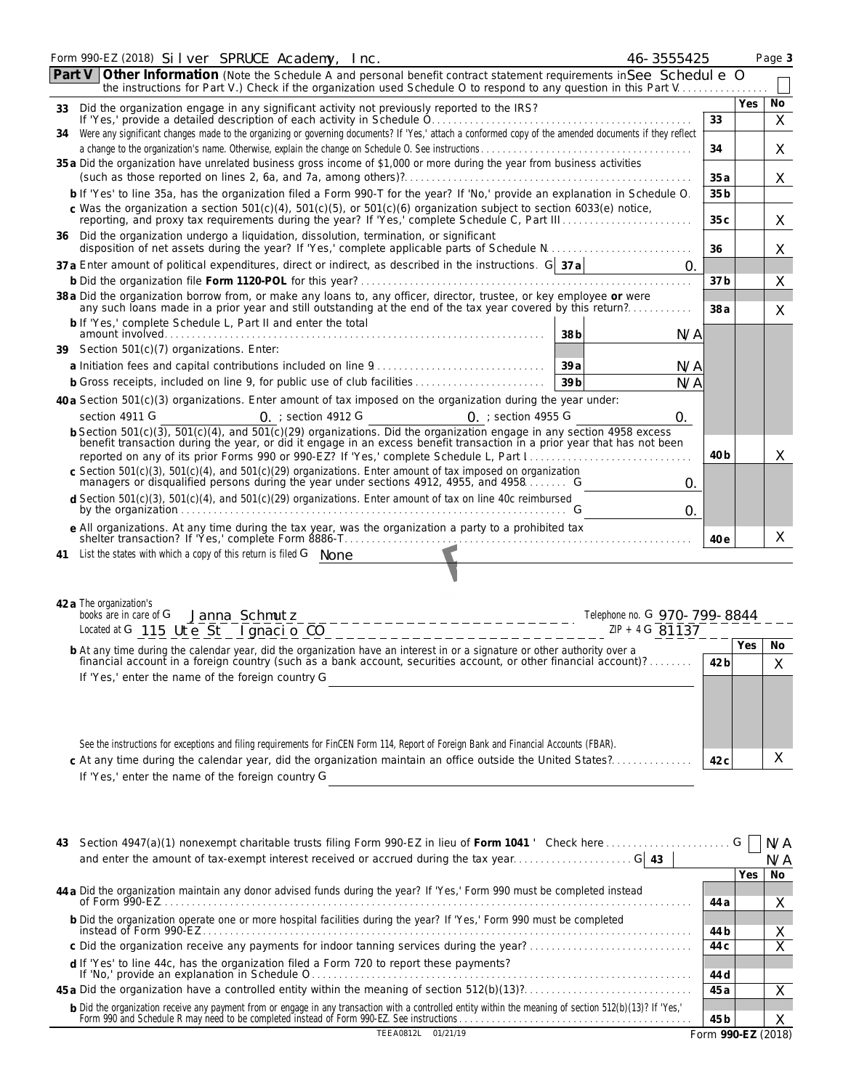|        | Form 990-EZ (2018) Silver SPRUCE Academy, Inc.<br>46-3555425                                                                                                                                                                                  |                 |            | Page 3  |
|--------|-----------------------------------------------------------------------------------------------------------------------------------------------------------------------------------------------------------------------------------------------|-----------------|------------|---------|
| Part V | Other Information (Note the Schedule A and personal benefit contract statement requirements in See Schedul e 0<br>the instructions for Part V.) Check if the organization used Schedule O to respond to any question in this Part V           |                 |            |         |
|        | 33 Did the organization engage in any significant activity not previously reported to the IRS?                                                                                                                                                |                 | Yes        | No      |
|        | Were any significant changes made to the organizing or governing documents? If 'Yes,' attach a conformed copy of the amended documents if they reflect                                                                                        | 33              |            | $\sf X$ |
| 34     | a change to the organization's name. Otherwise, explain the change on Schedule O. See instructions.                                                                                                                                           | 34              |            | Χ       |
|        | 35 a Did the organization have unrelated business gross income of \$1,000 or more during the year from business activities                                                                                                                    | 35a             |            | X       |
|        | b If 'Yes' to line 35a, has the organization filed a Form 990-T for the year? If 'No,' provide an explanation in Schedule O.                                                                                                                  | 35 <sub>b</sub> |            |         |
|        | c Was the organization a section $501(c)(4)$ , $501(c)(5)$ , or $501(c)(6)$ organization subject to section 6033(e) notice,                                                                                                                   | 35c             |            | X       |
|        | 36 Did the organization undergo a liquidation, dissolution, termination, or significant                                                                                                                                                       | 36              |            | X       |
|        | 37 a Enter amount of political expenditures, direct or indirect, as described in the instructions. G 37 a<br>$\mathcal{O}$ .                                                                                                                  |                 |            |         |
|        |                                                                                                                                                                                                                                               | 37 b            |            | Χ       |
|        | 38 a Did the organization borrow from, or make any loans to, any officer, director, trustee, or key employee or were<br>any such loans made in a prior year and still outstanding at the end of the tax year covered by this return?          | 38a             |            | X       |
|        | b If 'Yes,' complete Schedule L, Part II and enter the total<br>38 <sub>b</sub><br>N/A                                                                                                                                                        |                 |            |         |
|        | 39 Section 501(c)(7) organizations. Enter:                                                                                                                                                                                                    |                 |            |         |
|        | 39a<br>N/A                                                                                                                                                                                                                                    |                 |            |         |
|        | <b>b</b> Gross receipts, included on line 9, for public use of club facilities<br>39 <sub>b</sub><br>N/A                                                                                                                                      |                 |            |         |
|        | 40 a Section $501(c)(3)$ organizations. Enter amount of tax imposed on the organization during the year under:                                                                                                                                |                 |            |         |
|        | section 4911 G<br>$\Omega$ : section 4912 G<br>$0.$ ; section 4955 G<br>0.<br>b Section 501(c)(3), 501(c)(4), and 501(c)(29) organizations. Did the organization engage in any section 4958 excess                                            |                 |            |         |
|        | benefit transaction during the year, or did it engage in an excess benefit transaction in a prior year that has not been                                                                                                                      | 40 b            |            | X       |
|        | c Section 501(c)(3), 501(c)(4), and 501(c)(29) organizations. Enter amount of tax imposed on organization managers or disqualified persons during the year under sections 4912, 4955, and 4958 G                                              |                 |            |         |
|        | 0.<br>d Section 501(c)(3), 501(c)(4), and 501(c)(29) organizations. Enter amount of tax on line 40c reimbursed<br>$\mathsf{O}$                                                                                                                |                 |            |         |
|        | e All organizations. At any time during the tax year, was the organization a party to a prohibited tax                                                                                                                                        |                 |            | X       |
| 41     | shelter transaction? If 'Yes,' complete Form 8886-T.<br>List the states with which a copy of this return is filed G None                                                                                                                      | 40 e            |            |         |
|        |                                                                                                                                                                                                                                               |                 |            |         |
|        |                                                                                                                                                                                                                                               |                 |            |         |
|        | 42 a The organization's                                                                                                                                                                                                                       |                 |            |         |
|        | books are in care of G<br>Janna Schmutz<br>Telephone no. G 970-799-8844                                                                                                                                                                       |                 |            |         |
|        | Located at G 115 Ute $\overline{5t}$   $\overline{g}$ macio CO<br>$ZIP + 4G$ 81137                                                                                                                                                            |                 |            |         |
|        | b At any time during the calendar year, did the organization have an interest in or a signature or other authority over a<br>financial account in a foreign country (such as a bank account, securities account, or other financial account)? | 42 b            | Yes        | No<br>X |
|        | If 'Yes,' enter the name of the foreign country G                                                                                                                                                                                             |                 |            |         |
|        |                                                                                                                                                                                                                                               |                 |            |         |
|        |                                                                                                                                                                                                                                               |                 |            |         |
|        | See the instructions for exceptions and filing requirements for FinCEN Form 114, Report of Foreign Bank and Financial Accounts (FBAR).                                                                                                        |                 |            |         |
|        | c At any time during the calendar year, did the organization maintain an office outside the United States?                                                                                                                                    | 42 <sub>c</sub> |            | X       |
|        | If 'Yes,' enter the name of the foreign country G                                                                                                                                                                                             |                 |            |         |
|        |                                                                                                                                                                                                                                               |                 |            |         |
|        |                                                                                                                                                                                                                                               |                 |            |         |
|        |                                                                                                                                                                                                                                               |                 |            | N/A     |
|        |                                                                                                                                                                                                                                               |                 |            | N/A     |
|        |                                                                                                                                                                                                                                               |                 | <b>Yes</b> | No      |
|        | 44 a Did the organization maintain any donor advised funds during the year? If 'Yes,' Form 990 must be completed instead                                                                                                                      |                 |            |         |
|        |                                                                                                                                                                                                                                               | 44 a            |            | X       |
|        | b Did the organization operate one or more hospital facilities during the year? If 'Yes,' Form 990 must be completed                                                                                                                          | 44 b            |            | X       |
|        | c Did the organization receive any payments for indoor tanning services during the year?                                                                                                                                                      | 44 c            |            | Χ       |
|        | d If 'Yes' to line 44c, has the organization filed a Form 720 to report these payments?                                                                                                                                                       | 44 d            |            |         |

**45 a** Did the organization have a controlled entity within the meaning of section 512(b)(13)?. . . . . . . . . . . . . . . . . . . . . . . . . . . . . . . **45 a** b Did the organization receive any payment from or engage in any transaction with a controlled entity within the meaning of section 512(b)(13)? If 'Yes,'<br>Form 990 and Schedule R may need to be completed instead of Form 990 TEEA0812L 01/21/19 Form **990-EZ** (2018)

X

X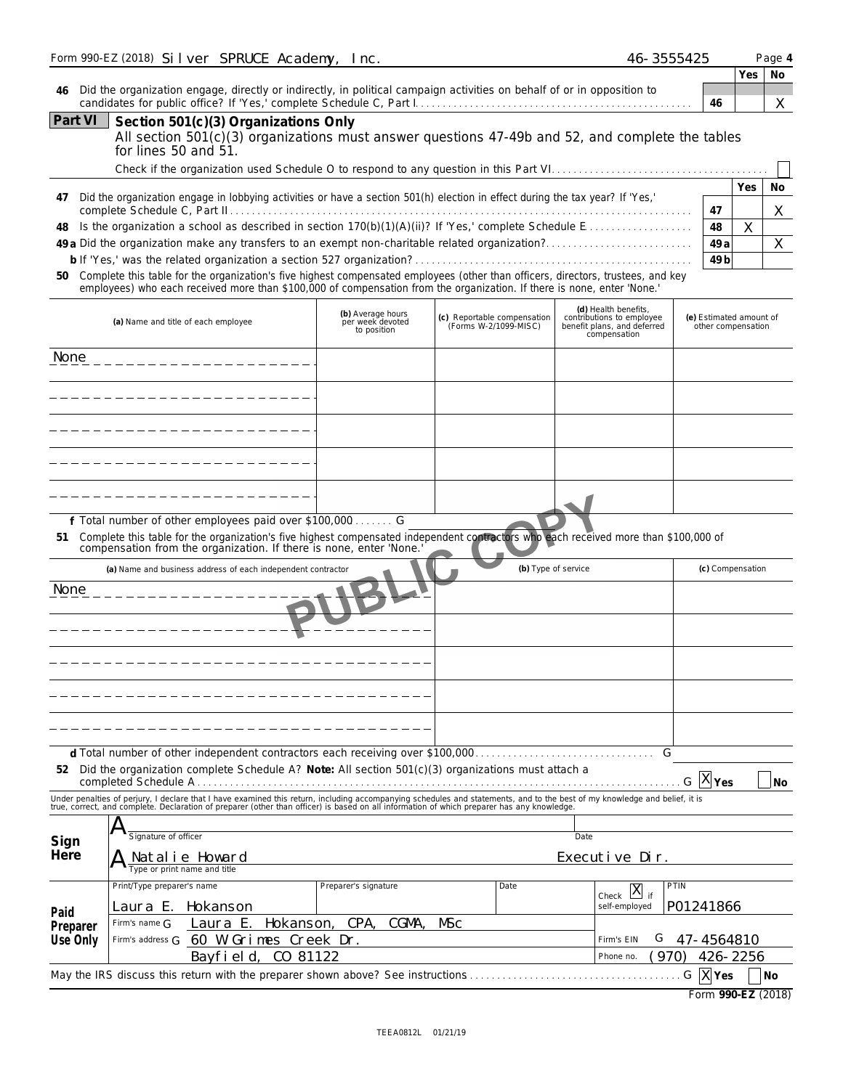|                              | Form 990-EZ (2018) Silver SPRUCE Academy, Inc.                                                                                                                                                                                                                                                                                                                                                                                                                                                           |                                                      |                                                      | 46-3555425                                                                                       |                                               |          | Page 4        |
|------------------------------|----------------------------------------------------------------------------------------------------------------------------------------------------------------------------------------------------------------------------------------------------------------------------------------------------------------------------------------------------------------------------------------------------------------------------------------------------------------------------------------------------------|------------------------------------------------------|------------------------------------------------------|--------------------------------------------------------------------------------------------------|-----------------------------------------------|----------|---------------|
| 46                           | Did the organization engage, directly or indirectly, in political campaign activities on behalf of or in opposition to                                                                                                                                                                                                                                                                                                                                                                                   |                                                      |                                                      |                                                                                                  | 46                                            | Yes      | No<br>X       |
| <b>Part VI</b>               | Section 501(c)(3) Organizations Only<br>All section 501(c)(3) organizations must answer questions 47-49b and 52, and complete the tables<br>for lines 50 and 51.                                                                                                                                                                                                                                                                                                                                         |                                                      |                                                      |                                                                                                  |                                               |          |               |
| 47<br>48<br>50               | Did the organization engage in lobbying activities or have a section 501(h) election in effect during the tax year? If 'Yes,'<br>Is the organization a school as described in section $170(b)(1)(A)(ii)$ ? If 'Yes,' complete Schedule E.<br>Complete this table for the organization's five highest compensated employees (other than officers, directors, trustees, and key<br>employees) who each received more than \$100,000 of compensation from the organization. If there is none, enter 'None.' |                                                      |                                                      |                                                                                                  | 47<br>48<br>49 a<br>49 <sub>b</sub>           | Yes<br>X | No<br>X.<br>X |
|                              | (a) Name and title of each employee                                                                                                                                                                                                                                                                                                                                                                                                                                                                      | (b) Average hours<br>per week devoted<br>to position | (c) Reportable compensation<br>(Forms W-2/1099-MISC) | (d) Health benefits,<br>contributions to employee<br>benefit plans, and deferred<br>compensation | (e) Estimated amount of<br>other compensation |          |               |
| None                         | --------------------                                                                                                                                                                                                                                                                                                                                                                                                                                                                                     |                                                      |                                                      |                                                                                                  |                                               |          |               |
|                              | -------------------<br>-----------------                                                                                                                                                                                                                                                                                                                                                                                                                                                                 |                                                      |                                                      |                                                                                                  |                                               |          |               |
|                              | __________________                                                                                                                                                                                                                                                                                                                                                                                                                                                                                       |                                                      |                                                      |                                                                                                  |                                               |          |               |
| 51                           | _ _ _ _ _ _ _ _ _ _ _ _ _ _ _ _ _ _<br>f Total number of other employees paid over \$100,000 G<br>Complete this table for the organization's five highest compensated independent contractors who each received more than \$100,000 of compensation from the organization. If there is none, enter 'None.'                                                                                                                                                                                               |                                                      |                                                      |                                                                                                  |                                               |          |               |
| None                         | (a) Name and business address of each independent contractor<br>_ _ _ _ _ _ _ _ _ _ _ _ _ _                                                                                                                                                                                                                                                                                                                                                                                                              |                                                      |                                                      | (b) Type of service                                                                              | (c) Compensation                              |          |               |
|                              |                                                                                                                                                                                                                                                                                                                                                                                                                                                                                                          |                                                      |                                                      |                                                                                                  |                                               |          |               |
| 52                           | Did the organization complete Schedule A? Note: All section 501(c)(3) organizations must attach a                                                                                                                                                                                                                                                                                                                                                                                                        |                                                      |                                                      | G                                                                                                | $G$ $ X $ $Yes$                               |          | <b>No</b>     |
|                              | Under penalties of perjury, I declare that I have examined this return, including accompanying schedules and statements, and to the best of my knowledge and belief, it is true, correct, and complete. Declaration of prepare                                                                                                                                                                                                                                                                           |                                                      |                                                      |                                                                                                  |                                               |          |               |
| Sign<br>Here                 | A<br>Signature of officer<br>Natalie Howard<br>Type or print name and title                                                                                                                                                                                                                                                                                                                                                                                                                              |                                                      |                                                      | Date<br>Executive Dir.                                                                           |                                               |          |               |
| Paid<br>Preparer<br>Use Only | Print/Type preparer's name<br>Laura E.<br>Hokanson<br>Laura E.<br>Firm's name $\bigcap$<br>Firm's address G 60 W Grimes Creek Dr.<br>CO 81122<br>Bayfield,                                                                                                                                                                                                                                                                                                                                               | Preparer's signature<br>Hokanson, CPA,<br>CGMA,      | Date<br><b>MSc</b>                                   | Check $X$ <sub>if</sub><br>self-employed<br>G<br>Firm's EIN<br>(970<br>Phone no.                 | PTIN<br>P01241866<br>47-4564810<br>426-2256   |          |               |
|                              | May the IRS discuss this return with the preparer shown above? See instructions                                                                                                                                                                                                                                                                                                                                                                                                                          |                                                      |                                                      |                                                                                                  | G X Yes<br>Form 990-EZ (2018)                 |          | No            |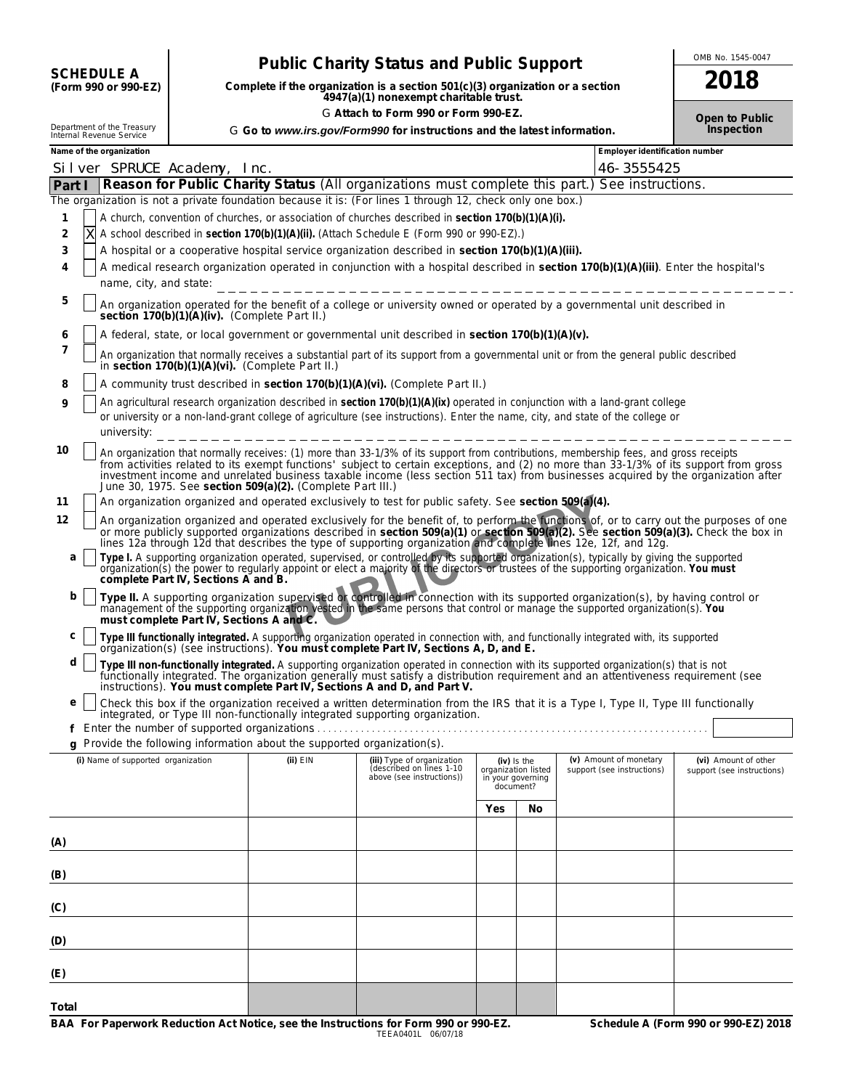| <b>SCHEDULE A</b>    |
|----------------------|
| (Form 000 or 000.F7) |

# CHEDULE A **Public Charity Status and Public Support Resonance the Support** Charity Status and Public Support<br>
Form 990 or 990-EZ) Complete if the organization is a section 501(c)(3) organization or a section

**COMPONTE A**<br>
(Form 990 or 990-EZ) Complete if the organization is a section 501(c)(3) organization or a section<br>
4947(a)(1) nonexempt charitable trust. G Attach to Form 990 or Form 990-EZ. **Depicts on the State of Public** Open to Public

|  |  | Go to www.irs.gov/Form990 for instructions and the latest informatio |  |  |  |  |
|--|--|----------------------------------------------------------------------|--|--|--|--|
|  |  |                                                                      |  |  |  |  |
|  |  |                                                                      |  |  |  |  |

|          | Department of the Treasury<br>Internal Revenue Service |                                          |                                                            | G Go to www.irs.gov/Form990 for instructions and the latest information.                                                                                                                                                                                                                                                                                                                                                                                                                                                    |     |                                                                      |                                | Inspection                                                                                                                                                                                                                     |
|----------|--------------------------------------------------------|------------------------------------------|------------------------------------------------------------|-----------------------------------------------------------------------------------------------------------------------------------------------------------------------------------------------------------------------------------------------------------------------------------------------------------------------------------------------------------------------------------------------------------------------------------------------------------------------------------------------------------------------------|-----|----------------------------------------------------------------------|--------------------------------|--------------------------------------------------------------------------------------------------------------------------------------------------------------------------------------------------------------------------------|
|          | Name of the organization                               |                                          |                                                            |                                                                                                                                                                                                                                                                                                                                                                                                                                                                                                                             |     |                                                                      | Employer identification number |                                                                                                                                                                                                                                |
|          | Silver SPRUCE Academy, Inc.                            |                                          |                                                            |                                                                                                                                                                                                                                                                                                                                                                                                                                                                                                                             |     |                                                                      | 46-3555425                     |                                                                                                                                                                                                                                |
|          |                                                        |                                          |                                                            | Part   Reason for Public Charity Status (All organizations must complete this part.) See instructions.                                                                                                                                                                                                                                                                                                                                                                                                                      |     |                                                                      |                                |                                                                                                                                                                                                                                |
|          |                                                        |                                          |                                                            | The organization is not a private foundation because it is: (For lines 1 through 12, check only one box.)<br>A church, convention of churches, or association of churches described in section 170(b)(1)(A)(i).                                                                                                                                                                                                                                                                                                             |     |                                                                      |                                |                                                                                                                                                                                                                                |
| 1<br>2   | Χ                                                      |                                          |                                                            | A school described in section 170(b)(1)(A)(ii). (Attach Schedule E (Form 990 or 990-EZ).)                                                                                                                                                                                                                                                                                                                                                                                                                                   |     |                                                                      |                                |                                                                                                                                                                                                                                |
| 3        |                                                        |                                          |                                                            | A hospital or a cooperative hospital service organization described in section 170(b)(1)(A)(iii).                                                                                                                                                                                                                                                                                                                                                                                                                           |     |                                                                      |                                |                                                                                                                                                                                                                                |
| 4        |                                                        |                                          |                                                            | A medical research organization operated in conjunction with a hospital described in section 170(b)(1)(A)(iii). Enter the hospital's                                                                                                                                                                                                                                                                                                                                                                                        |     |                                                                      |                                |                                                                                                                                                                                                                                |
|          | name, city, and state:                                 |                                          |                                                            |                                                                                                                                                                                                                                                                                                                                                                                                                                                                                                                             |     |                                                                      |                                |                                                                                                                                                                                                                                |
| 5        |                                                        |                                          | section 170(b)(1)(A)(iv). (Complete Part II.)              | An organization operated for the benefit of a college or university owned or operated by a governmental unit described in                                                                                                                                                                                                                                                                                                                                                                                                   |     |                                                                      |                                |                                                                                                                                                                                                                                |
| 6        |                                                        |                                          |                                                            | A federal, state, or local government or governmental unit described in section 170(b)(1)(A)(v).                                                                                                                                                                                                                                                                                                                                                                                                                            |     |                                                                      |                                |                                                                                                                                                                                                                                |
| 7        |                                                        |                                          | in section $170(b)(1)(A)(vi)$ . (Complete Part II.)        | An organization that normally receives a substantial part of its support from a governmental unit or from the general public described                                                                                                                                                                                                                                                                                                                                                                                      |     |                                                                      |                                |                                                                                                                                                                                                                                |
| 8        |                                                        |                                          |                                                            | A community trust described in section 170(b)(1)(A)(vi). (Complete Part II.)                                                                                                                                                                                                                                                                                                                                                                                                                                                |     |                                                                      |                                |                                                                                                                                                                                                                                |
| 9        |                                                        |                                          |                                                            | An agricultural research organization described in section 170(b)(1)(A)(ix) operated in conjunction with a land-grant college<br>or university or a non-land-grant college of agriculture (see instructions). Enter the name, city, and state of the college or                                                                                                                                                                                                                                                             |     |                                                                      |                                |                                                                                                                                                                                                                                |
| 10<br>11 |                                                        |                                          | June 30, 1975. See section 509(a)(2). (Complete Part III.) | An organization that normally receives: (1) more than 33-1/3% of its support from contributions, membership fees, and gross receipts<br>from activities related to its exempt functions' subject to certain exceptions, and (2) no more than 33-1/3% of its support from gross<br>investment income and unrelated business taxable income (less section 511 tax) from businesses acquired by the organization after<br>An organization organized and operated exclusively to test for public safety. See section 509(a)(4). |     |                                                                      |                                |                                                                                                                                                                                                                                |
| 12       |                                                        |                                          |                                                            |                                                                                                                                                                                                                                                                                                                                                                                                                                                                                                                             |     |                                                                      |                                | An organization organized and operated exclusively for the benefit of, to perform the unclions of, or to carry out the purposes of one                                                                                         |
|          |                                                        |                                          |                                                            |                                                                                                                                                                                                                                                                                                                                                                                                                                                                                                                             |     |                                                                      |                                | or more publicly supported organizations described in section 509(a)(1) or section 509(a)(2). See section 509(a)(3). Check the box in lines 12a through 12d that describes the type of supporting organization and complete li |
| a        |                                                        | complete Part IV, Sections A and B.      |                                                            | Type I. A supporting organization operated, supervised, or controlled by its supported organization(s), typically by giving the supported organization(s) the power to regularly appoint or elect a majority of the directors                                                                                                                                                                                                                                                                                               |     |                                                                      |                                |                                                                                                                                                                                                                                |
| b        |                                                        | must complete Part IV, Sections A and C. |                                                            | Type II. A supporting organization supervised of controlled in connection with its supported organization(s), by having control or<br>management of the supporting organization vested in the same persons that control or manage the supported organization(s). You                                                                                                                                                                                                                                                        |     |                                                                      |                                |                                                                                                                                                                                                                                |
| с        |                                                        |                                          |                                                            | Type III functionally integrated. A supporting organization operated in connection with, and functionally integrated with, its supported<br>organization(s) (see instructions). You must complete Part IV, Sections A, D, and E.                                                                                                                                                                                                                                                                                            |     |                                                                      |                                |                                                                                                                                                                                                                                |
| d        |                                                        |                                          |                                                            | Type III non-functionally integrated. A supporting organization operated in connection with its supported organization(s) that is not functionally integrated. The organization generally must satisfy a distribution requirem<br>instructions). You must complete Part IV, Sections A and D, and Part V.                                                                                                                                                                                                                   |     |                                                                      |                                |                                                                                                                                                                                                                                |
| e        |                                                        |                                          |                                                            | Check this box if the organization received a written determination from the IRS that it is a Type I, Type II, Type III functionally<br>integrated, or Type III non-functionally integrated supporting organization.                                                                                                                                                                                                                                                                                                        |     |                                                                      |                                |                                                                                                                                                                                                                                |
|          |                                                        |                                          |                                                            | Provide the following information about the supported organization(s).                                                                                                                                                                                                                                                                                                                                                                                                                                                      |     |                                                                      |                                |                                                                                                                                                                                                                                |
|          | (i) Name of supported organization                     |                                          | $(ii)$ $EIN$                                               |                                                                                                                                                                                                                                                                                                                                                                                                                                                                                                                             |     |                                                                      | (v) Amount of monetary         | (vi) Amount of other                                                                                                                                                                                                           |
|          |                                                        |                                          |                                                            | (iii) Type of organization<br>(described on lines 1-10<br>above (see instructions))                                                                                                                                                                                                                                                                                                                                                                                                                                         |     | (iv) Is the<br>organization listed<br>in your governing<br>document? | support (see instructions)     | support (see instructions)                                                                                                                                                                                                     |
|          |                                                        |                                          |                                                            |                                                                                                                                                                                                                                                                                                                                                                                                                                                                                                                             | Yes | No                                                                   |                                |                                                                                                                                                                                                                                |
| (A)      |                                                        |                                          |                                                            |                                                                                                                                                                                                                                                                                                                                                                                                                                                                                                                             |     |                                                                      |                                |                                                                                                                                                                                                                                |
| (B)      |                                                        |                                          |                                                            |                                                                                                                                                                                                                                                                                                                                                                                                                                                                                                                             |     |                                                                      |                                |                                                                                                                                                                                                                                |
| (C)      |                                                        |                                          |                                                            |                                                                                                                                                                                                                                                                                                                                                                                                                                                                                                                             |     |                                                                      |                                |                                                                                                                                                                                                                                |
| (D)      |                                                        |                                          |                                                            |                                                                                                                                                                                                                                                                                                                                                                                                                                                                                                                             |     |                                                                      |                                |                                                                                                                                                                                                                                |
| (E)      |                                                        |                                          |                                                            |                                                                                                                                                                                                                                                                                                                                                                                                                                                                                                                             |     |                                                                      |                                |                                                                                                                                                                                                                                |
| Total    |                                                        |                                          |                                                            |                                                                                                                                                                                                                                                                                                                                                                                                                                                                                                                             |     |                                                                      |                                |                                                                                                                                                                                                                                |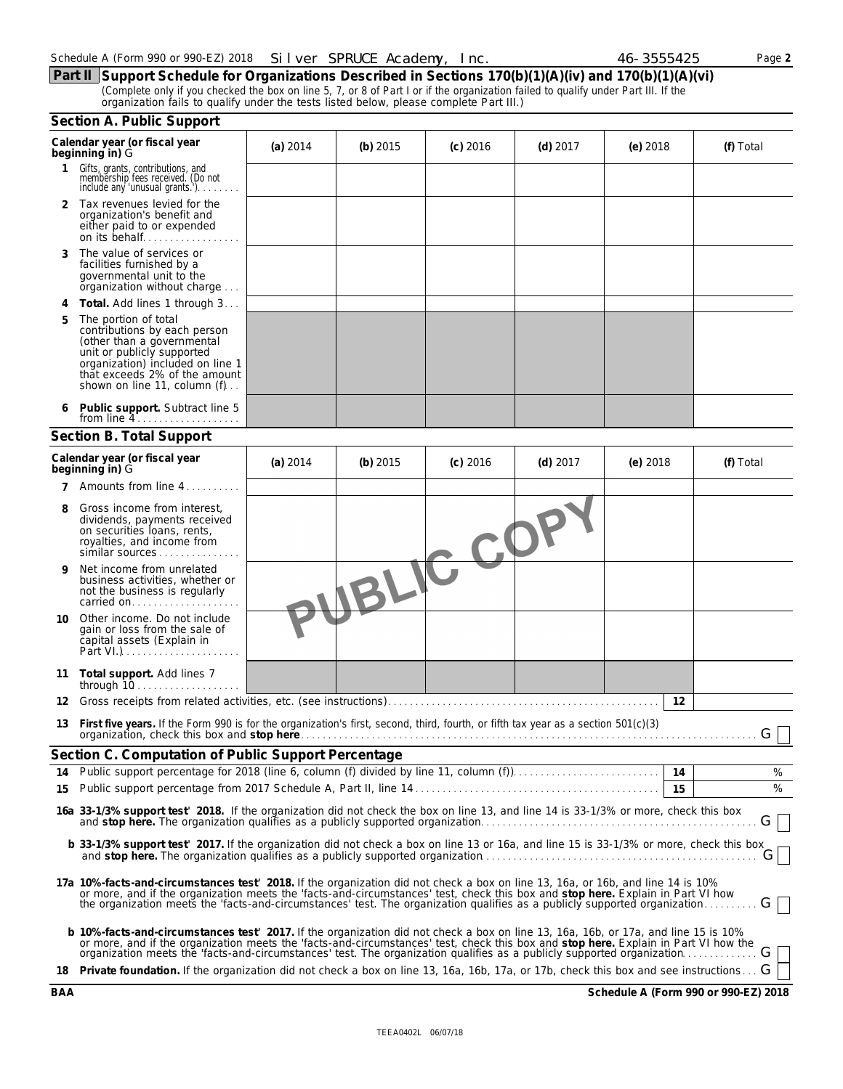|  | Schedule A (Form 990 or 990-EZ) 2018  Silver SPRUCE Academy, Inc. |  |
|--|-------------------------------------------------------------------|--|
|--|-------------------------------------------------------------------|--|

**Part II Support Schedule for Organizations Described in Sections 170(b)(1)(A)(iv) and 170(b)(1)(A)(vi)** (Complete only if you checked the box on line 5, 7, or 8 of Part I or if the organization failed to qualify under Part III. If the organization fails to qualify under the tests listed below, please complete Part III.)

|    | Section A. Public Support                                                                                                                                                                                                                                                                                                                                                                           |          |            |            |            |            |           |
|----|-----------------------------------------------------------------------------------------------------------------------------------------------------------------------------------------------------------------------------------------------------------------------------------------------------------------------------------------------------------------------------------------------------|----------|------------|------------|------------|------------|-----------|
|    | Calendar year (or fiscal year<br>beginning in) G                                                                                                                                                                                                                                                                                                                                                    | (a) 2014 | (b) $2015$ | $(c)$ 2016 | $(d)$ 2017 | (e) $2018$ | (f) Total |
| 1  | Gifts, grants, contributions, and<br>membership fees received. (Do not<br>include any 'unusual grants.')                                                                                                                                                                                                                                                                                            |          |            |            |            |            |           |
|    | 2 Tax revenues levied for the<br>organization's benefit and<br>either paid to or expended                                                                                                                                                                                                                                                                                                           |          |            |            |            |            |           |
| 3  | The value of services or<br>facilities furnished by a<br>governmental unit to the<br>organization without charge                                                                                                                                                                                                                                                                                    |          |            |            |            |            |           |
| 4  | <b>Total.</b> Add lines 1 through 3                                                                                                                                                                                                                                                                                                                                                                 |          |            |            |            |            |           |
| 5  | The portion of total<br>contributions by each person<br>(other than a governmental<br>unit or publicly supported<br>organization) included on line 1<br>that exceeds 2% of the amount<br>shown on line 11, column (f)                                                                                                                                                                               |          |            |            |            |            |           |
|    | Public support. Subtract line 5                                                                                                                                                                                                                                                                                                                                                                     |          |            |            |            |            |           |
|    | Section B. Total Support                                                                                                                                                                                                                                                                                                                                                                            |          |            |            |            |            |           |
|    | Calendar year (or fiscal year<br>beginning in) G                                                                                                                                                                                                                                                                                                                                                    | (a) 2014 | (b) $2015$ | $(c)$ 2016 | $(d)$ 2017 | (e) $2018$ | (f) Total |
|    | <b>7</b> Amounts from line 4                                                                                                                                                                                                                                                                                                                                                                        |          |            |            |            |            |           |
| 8  | Gross income from interest,<br>dividends, payments received<br>on securities loans, rents,<br>royalties, and income from<br>similar sources                                                                                                                                                                                                                                                         |          |            | JBLIC CD   |            |            |           |
| 9  | Net income from unrelated<br>business activities, whether or<br>not the business is regularly<br>carried on                                                                                                                                                                                                                                                                                         |          |            |            |            |            |           |
| 10 | Other income. Do not include<br>gain or loss from the sale of<br>capital assets (Explain in<br>Part VI.)                                                                                                                                                                                                                                                                                            |          |            |            |            |            |           |
| 11 | Total support. Add lines 7                                                                                                                                                                                                                                                                                                                                                                          |          |            |            |            |            |           |
| 12 |                                                                                                                                                                                                                                                                                                                                                                                                     |          |            |            |            | 12         |           |
|    | 13 First five years. If the Form 990 is for the organization's first, second, third, fourth, or fifth tax year as a section 501(c)(3)                                                                                                                                                                                                                                                               |          |            |            |            |            | G         |
|    | Section C. Computation of Public Support Percentage                                                                                                                                                                                                                                                                                                                                                 |          |            |            |            |            |           |
| 14 |                                                                                                                                                                                                                                                                                                                                                                                                     |          |            |            |            |            | %         |
| 15 |                                                                                                                                                                                                                                                                                                                                                                                                     |          |            |            |            | 15         | %         |
|    | 16a 33-1/3% support test' 2018. If the organization did not check the box on line 13, and line 14 is 33-1/3% or more, check this box<br>and stop here. The organization qualifies as a publicly supported organization.                                                                                                                                                                             |          |            |            |            |            | G I       |
|    | b 33-1/3% support test' 2017. If the organization did not check a box on line 13 or 16a, and line 15 is 33-1/3% or more, check this box                                                                                                                                                                                                                                                             |          |            |            |            |            | G         |
|    | 17a 10%-facts-and-circumstances test' 2018. If the organization did not check a box on line 13, 16a, or 16b, and line 14 is 10%<br>or more, and if the organization meets the 'facts-and-circumstances' test, check this box and stop here. Explain in Part VI how the organization meets the 'facts-and-circumstances' test. The organization qualifies as a pub                                   |          |            |            |            |            | G         |
|    | b 10%-facts-and-circumstances test' 2017. If the organization did not check a box on line 13, 16a, 16b, or 17a, and line 15 is 10%<br>or more, and if the organization meets the 'facts-and-circumstances' test, check this box and stop here. Explain in Part VI how the<br>organization meets the 'facts-and-circumstances' test. The organization qualifies as a publicly supported organization |          |            |            |            |            |           |
|    | 18 Private foundation. If the organization did not check a box on line 13, 16a, 16b, 17a, or 17b, check this box and see instructions G                                                                                                                                                                                                                                                             |          |            |            |            |            |           |

**BAA Schedule A (Form 990 or 990-EZ) 2018**

| 46-3555425 | Page 2 |
|------------|--------|
|            |        |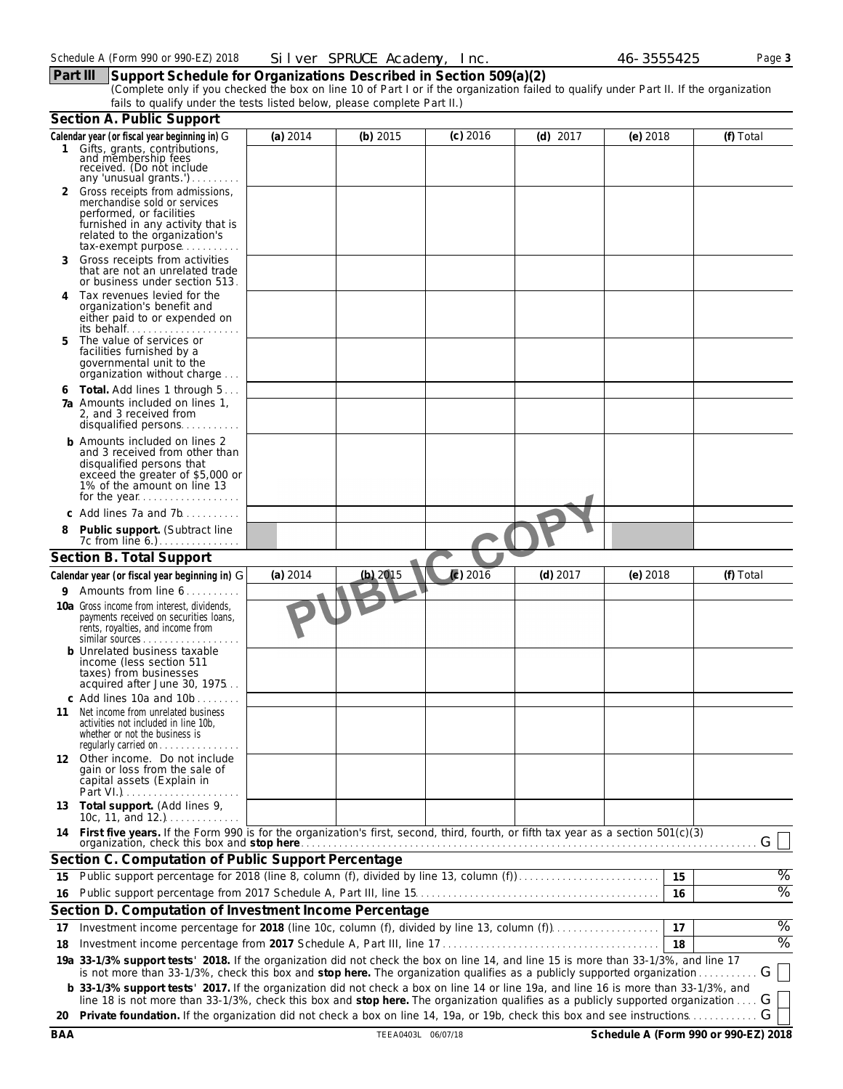## **Part III Support Schedule for Organizations Described in Section 509(a)(2)**

(Complete only if you checked the box on line 10 of Part I or if the organization failed to qualify under Part II. If the organization fails to qualify under the tests listed below, please complete Part II.)

|    | Section A. Public Support                                                                                                                                                                                                                                                |          |            |            |            |            |               |
|----|--------------------------------------------------------------------------------------------------------------------------------------------------------------------------------------------------------------------------------------------------------------------------|----------|------------|------------|------------|------------|---------------|
|    | Calendar year (or fiscal year beginning in) G                                                                                                                                                                                                                            | (a) 2014 | (b) 2015   | $(c)$ 2016 | $(d)$ 2017 | $(e)$ 2018 | (f) Total     |
|    | 1 Gifts, grants, contributions,<br>and membership fees<br>received. (Do not include<br>any 'unusual grants.')                                                                                                                                                            |          |            |            |            |            |               |
|    | 2 Gross receipts from admissions,<br>merchandise sold or services<br>performed, or facilities<br>furnished in any activity that is<br>related to the organization's<br>tax-exempt purpose                                                                                |          |            |            |            |            |               |
| 3  | Gross receipts from activities<br>that are not an unrelated trade<br>or business under section 513.                                                                                                                                                                      |          |            |            |            |            |               |
| 4  | Tax revenues levied for the<br>organization's benefit and<br>either paid to or expended on<br>its behalf                                                                                                                                                                 |          |            |            |            |            |               |
| 5  | The value of services or<br>facilities furnished by a<br>governmental unit to the<br>organization without charge                                                                                                                                                         |          |            |            |            |            |               |
| 6  | Total. Add lines 1 through 5<br><b>7a</b> Amounts included on lines 1.<br>2, and 3 received from<br>disqualified persons                                                                                                                                                 |          |            |            |            |            |               |
|    | <b>b</b> Amounts included on lines 2<br>and 3 received from other than<br>disqualified persons that<br>exceed the greater of \$5,000 or<br>1% of the amount on line 13<br>for the year                                                                                   |          |            |            |            |            |               |
|    | c Add lines 7a and 7b                                                                                                                                                                                                                                                    |          |            |            |            |            |               |
| 8  | Public support. (Subtract line<br>7c from line 6.).                                                                                                                                                                                                                      |          |            |            |            |            |               |
|    | Section B. Total Support                                                                                                                                                                                                                                                 |          |            |            |            |            |               |
|    | Calendar year (or fiscal year beginning in) G                                                                                                                                                                                                                            | (a) 2014 | $(b)$ 2015 | (c) 2016   | $(d)$ 2017 | $(e)$ 2018 | (f) Total     |
| 9. | Amounts from line 6                                                                                                                                                                                                                                                      |          |            |            |            |            |               |
|    | 10a Gross income from interest, dividends,<br>payments received on securities loans,<br>rents, royalties, and income from<br>similar sources                                                                                                                             |          |            |            |            |            |               |
|    | <b>b</b> Unrelated business taxable<br>income (less section 511<br>taxes) from businesses<br>acquired after June 30, 1975                                                                                                                                                |          |            |            |            |            |               |
| 11 | c Add lines 10a and 10b<br>Net income from unrelated business<br>activities not included in line 10b,<br>whether or not the business is<br>regularly carried on                                                                                                          |          |            |            |            |            |               |
|    | 12 Other income. Do not include<br>gain or loss from the sale of<br>capital assets (Explain in<br>Part VI.)                                                                                                                                                              |          |            |            |            |            |               |
|    | 13 Total support. (Add lines 9,<br>10c, 11, and 12.) $\ldots$                                                                                                                                                                                                            |          |            |            |            |            |               |
|    | 14 First five years. If the Form 990 is for the organization's first, second, third, fourth, or fifth tax year as a section 501(c)(3)                                                                                                                                    |          |            |            |            |            | G             |
|    | Section C. Computation of Public Support Percentage                                                                                                                                                                                                                      |          |            |            |            |            |               |
| 15 | Public support percentage for 2018 (line 8, column (f), divided by line 13, column (f)                                                                                                                                                                                   |          |            |            |            | 15         | $\%$          |
| 16 |                                                                                                                                                                                                                                                                          |          |            |            |            | 16         | $\frac{9}{6}$ |
|    | Section D. Computation of Investment Income Percentage                                                                                                                                                                                                                   |          |            |            |            |            |               |
| 17 | Investment income percentage for 2018 (line 10c, column (f), divided by line 13, column (f)                                                                                                                                                                              |          |            |            |            | 17         | $\%$          |
| 18 |                                                                                                                                                                                                                                                                          |          |            |            |            | 18         | $\%$          |
|    | 19a 33-1/3% support tests' 2018. If the organization did not check the box on line 14, and line 15 is more than 33-1/3%, and line 17<br>is not more than 33-1/3%, check this box and stop here. The organization qualifies as a publicly supported organization          |          |            |            |            |            | G             |
|    | b 33-1/3% support tests' 2017. If the organization did not check a box on line 14 or line 19a, and line 16 is more than 33-1/3%, and<br>line 18 is not more than 33-1/3%, check this box and stop here. The organization qualifies as a publicly supported organization. |          |            |            |            |            | G             |
|    | 20 Private foundation. If the organization did not check a box on line 14, 19a, or 19b, check this box and see instructions                                                                                                                                              |          |            |            |            |            | G             |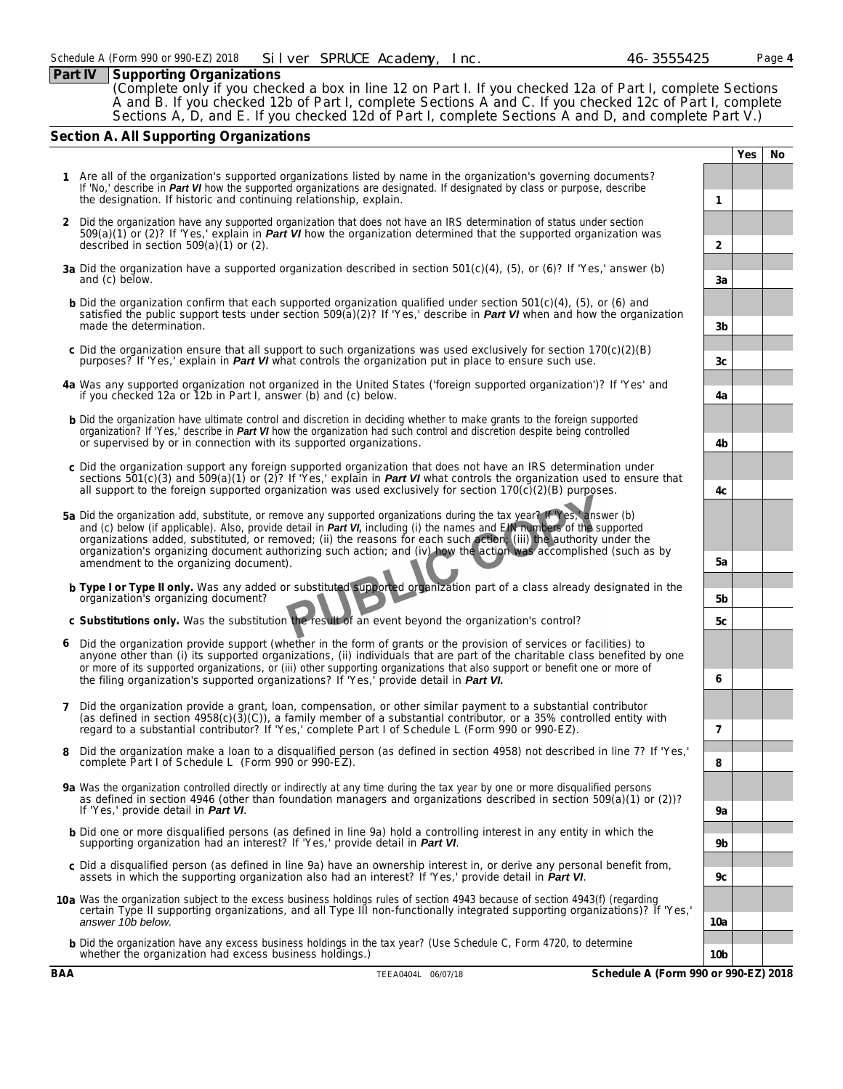### **Part IV** Supporting Organizations

(Complete only if you checked a box in line 12 on Part I. If you checked 12a of Part I, complete Sections A and B. If you checked 12b of Part I, complete Sections A and C. If you checked 12c of Part I, complete Sections A, D, and E. If you checked 12d of Part I, complete Sections A and D, and complete Part V.)

# **Section A. All Supporting Organizations**

- **Yes No 1** Are all of the organization's supported organizations listed by name in the organization's governing documents? *If 'No,' describe in Part VI how the supported organizations are designated. If designated by class or purpose, describe the designation. If historic and continuing relationship, explain.* **1 2** Did the organization have any supported organization that does not have an IRS determination of status under section 509(a)(1) or (2)? *If 'Yes,' explain in Part VI how the organization determined that the supported organization was described in section 509(a)(1) or (2).* **2 3a** Did the organization have a supported organization described in section 501(c)(4), (5), or (6)? *If 'Yes,' answer (b) and (c) below.* **3a b** Did the organization confirm that each supported organization qualified under section 501(c)(4), (5), or (6) and satisfied the public support tests under section 509(a)(2)? *If 'Yes,' describe in Part VI when and how the organization* **made the determination. 3b c** Did the organization ensure that all support to such organizations was used exclusively for section 170(c)(2)(B) purposes? If 'Yes,' explain in *Part VI* what controls the organization put in place to ensure such use. **3c 3c 3c 4a** Was any supported organization not organized in the United States ('foreign supported organization')? *If 'Yes' and if you checked 12a or 12b in Part I, answer (b) and (c) below.* **4a b** Did the organization have ultimate control and discretion in deciding whether to make grants to the foreign supported organization? *If 'Yes,' describe in Part VI how the organization had such control and discretion despite being controlled or supervised by or in connection with its supported organizations.* **4b c** Did the organization support any foreign supported organization that does not have an IRS determination under sections 501(c)(3) and 509(a)(1) or (2)? *If 'Yes,' explain in Part VI what controls the organization used to ensure that all support to the foreign supported organization was used exclusively for section 170(c)(2)(B) purposes.* **4c 5a** Did the organization add, substitute, or remove any supported organizations during the tax year? *If 'Yes,' answer (b) and (c) below (if applicable). Also, provide detail in Part VI, including (i) the names and EIN numbers of the supported organizations added, substituted, or removed; (ii) the reasons for each such action; (iii) the authority under the organization's organizing document authorizing such action; and (iv) how the action was accomplished (such as by amendment to the organizing document).* **5a b Type I or Type II only.** Was any added or substituted supported organization part of a class already designated in the organization's organizing document? **5b c Substitutions only.** Was the substitution the result of an event beyond the organization's control? **5c 6** Did the organization provide support (whether in the form of grants or the provision of services or facilities) to anyone other than (i) its supported organizations, (ii) individuals that are part of the charitable class benefited by one or more of its supported organizations, or (iii) other supporting organizations that also support or benefit one or more of the filing organization's supported organizations? *If 'Yes,' provide detail in Part VI.* **6 7** Did the organization provide a grant, loan, compensation, or other similar payment to a substantial contributor (as defined in section 4958(c)(3)(C)), a family member of a substantial contributor, or a 35% controlled entity with regard to a substantial contributor? *If 'Yes,' complete Part I of Schedule L (Form 990 or 990-EZ).* **7 8** Did the organization make a loan to a disqualified person (as defined in section 4958) not described in line 7? *If 'Yes,' complete Part I of Schedule L (Form 990 or 990-EZ).* **8 9a** Was the organization controlled directly or indirectly at any time during the tax year by one or more disqualified persons as defined in section 4946 (other than foundation managers and organizations described in section 509(a)(1) or (2))? *If 'Yes,' provide detail in Part VI*. **9a** b Did one or more disqualified persons (as defined in line 9a) hold a controlling interest in any entity in which the<br>supporting organization had an interest? If 'Yes,' provide detail in *Part VI*. **c** Did a disqualified person (as defined in line 9a) have an ownership interest in, or derive any personal benefit from, assets in which the supporting organization also had an interest? *If 'Yes,' provide detail in Part VI*. **9c 10a** Was the organization subject to the excess business holdings rules of section 4943 because of section 4943(f) (regarding certain Type II supporting organizations, and all Type III non-functionally integrated supporting organizations)? *If 'Yes,' answer 10b below.* **10a**
	- **b** Did the organization have any excess business holdings in the tax year? *(Use Schedule C, Form 4720, to determine* whether the organization had excess business holdings.) **10b 10b 10b 10b 10b 10b 10b 10b 10b 10b 10b 10b 10b 10b 10b 10b 10b 10b 10b 10b 10b 10b 10b 10b 10b 10b 10b 10b**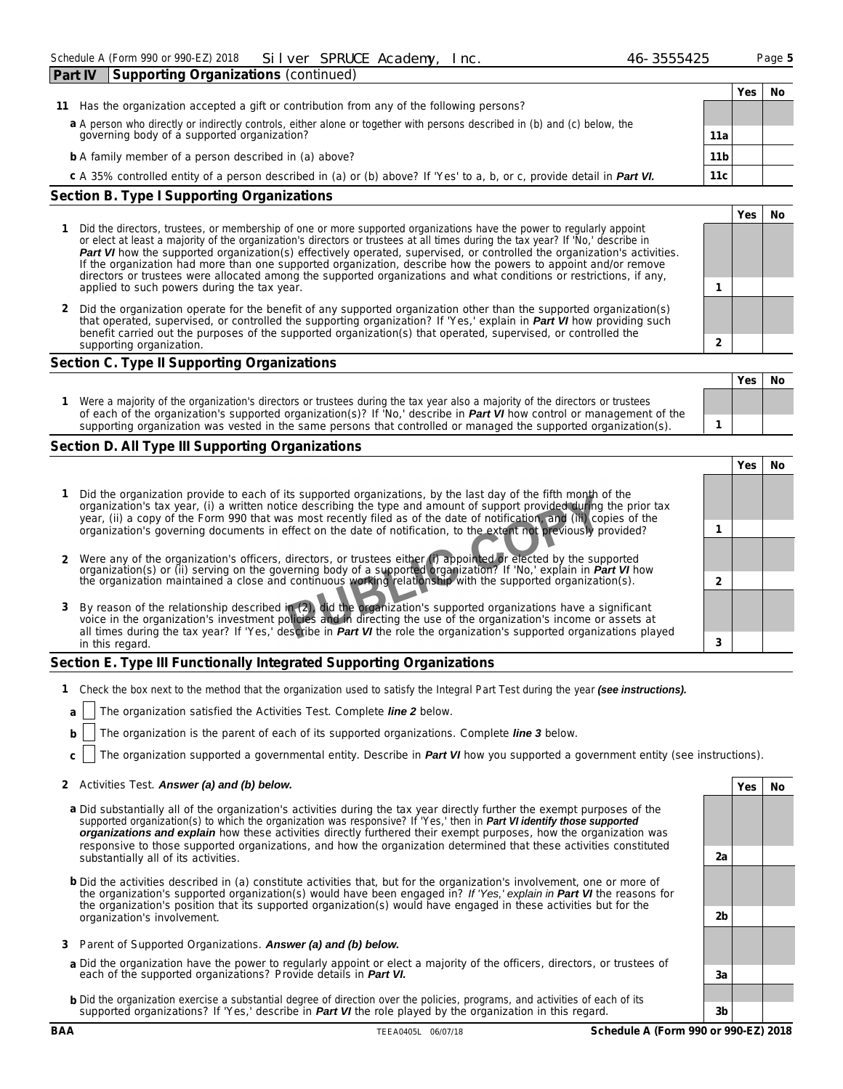| <b>F</b> GIL IV<br>$\sim$                                                                                                                                                |                 |      |    |
|--------------------------------------------------------------------------------------------------------------------------------------------------------------------------|-----------------|------|----|
|                                                                                                                                                                          |                 | Yes. | No |
| Has the organization accepted a gift or contribution from any of the following persons?<br>11                                                                            |                 |      |    |
| a A person who directly or indirectly controls, either alone or together with persons described in (b) and (c) below, the<br>governing body of a supported organization? | 11a             |      |    |
| <b>b</b> A family member of a person described in (a) above?                                                                                                             | 11 <sub>b</sub> |      |    |
| c A 35% controlled entity of a person described in (a) or (b) above? If 'Yes' to a, b, or c, provide detail in <b>Part VI.</b>                                           | 11 <sub>c</sub> |      |    |
| Section B. Type I Supporting Organizations                                                                                                                               |                 |      |    |
|                                                                                                                                                                          |                 | Yes  | No |
|                                                                                                                                                                          |                 |      |    |

#### **1** Did the directors, trustees, or membership of one or more supported organizations have the power to regularly appoint or elect at least a majority of the organization's directors or trustees at all times during the tax year? *If 'No,' describe in Part VI how the supported organization(s) effectively operated, supervised, or controlled the organization's activities. If the organization had more than one supported organization, describe how the powers to appoint and/or remove directors or trustees were allocated among the supported organizations and what conditions or restrictions, if any, applied to such powers during the tax* year. **1**

**2** Did the organization operate for the benefit of any supported organization other than the supported organization(s) that operated, supervised, or controlled the supporting organization? *If 'Yes,' explain in Part VI how providing such benefit carried out the purposes of the supported organization(s) that operated, supervised, or controlled the supporting organization.* **2**

### **Section C. Type II Supporting Organizations**

| Were a majority of the organization's directors or trustees during the tax year also a majority of the directors or trustees<br>of each of the organization's supported organization(s)? If 'No,' describe in <b>Part VI</b> how control or management of the |                                                                                                                  | Yes | No |
|---------------------------------------------------------------------------------------------------------------------------------------------------------------------------------------------------------------------------------------------------------------|------------------------------------------------------------------------------------------------------------------|-----|----|
|                                                                                                                                                                                                                                                               | supporting organization was vested in the same persons that controlled or managed the supported organization(s). |     |    |

# **Section D. All Type III Supporting Organizations**

|                                                                                                                                                                                                                                                                                                                                                                   | Yes |  |
|-------------------------------------------------------------------------------------------------------------------------------------------------------------------------------------------------------------------------------------------------------------------------------------------------------------------------------------------------------------------|-----|--|
| Did the organization provide to each of its supported organizations, by the last day of the fifth month of the<br>organization's tax year, (i) a written notice describing the type and amount of support provided during the prior tax<br>year, (ii) a copy of the Form 990 that was most recently filed as of the date of notification, and (iii) copies of the |     |  |
| organization's governing documents in effect on the date of notification, to the extent not previously provided?                                                                                                                                                                                                                                                  |     |  |
|                                                                                                                                                                                                                                                                                                                                                                   |     |  |
| 2 Were any of the organization's officers, directors, or trustees either (i) appointed or elected by the supported organization(s) or (ii) serving on the governing body of a supported organization? If 'No,' explain in <i>Par</i>                                                                                                                              |     |  |
|                                                                                                                                                                                                                                                                                                                                                                   |     |  |
| 3 By reason of the relationship described in (2), did the organization's supported organizations have a significant                                                                                                                                                                                                                                               |     |  |
| voice in the organization's investment policies and in directing the use of the organization's income or assets at                                                                                                                                                                                                                                                |     |  |
| all times during the tax year? If 'Yes,' describe in <b>Part VI</b> the role the organization's supported organizations played                                                                                                                                                                                                                                    |     |  |
| in this regard.                                                                                                                                                                                                                                                                                                                                                   |     |  |

# **Section E. Type III Functionally Integrated Supporting Organizations**

- **1** Check the box next to the method that the organization used to satisfy the Integral Part Test during the year (see instructions).
- **a** The organization satisfied the Activities Test. Complete *line* 2 below.
- **b** The organization is the parent of each of its supported organizations. Complete *line* 3 below.
- **c** The organization supported a governmental entity. *Describe in Part VI how you supported a government entity (see instructions).*

# **2** Activities Test. *Answer (a) and (b) below.* **Yes No**

- **a** Did substantially all of the organization's activities during the tax year directly further the exempt purposes of the supported organization(s) to which the organization was responsive? *If 'Yes,' then in Part VI identify those supported organizations and explain how these activities directly furthered their exempt purposes, how the organization was responsive to those supported organizations, and how the organization determined that these activities constituted substantially all of its activities.* **2a**
- **b** Did the activities described in (a) constitute activities that, but for the organization's involvement, one or more of the organization's supported organization(s) would have been engaged in? *If 'Yes,' explain in Part VI the reasons for the organization's position that its supported organization(s) would have engaged in these activities but for the organization's involvement.* **2b**
- **3** Parent of Supported Organizations. *Answer (a) and (b) below.*
- **a** Did the organization have the power to regularly appoint or elect a majority of the officers, directors, or trustees of each of the supported organizations? *Provide details in Part VI.* **3a**
- **b** Did the organization exercise a substantial degree of direction over the policies, programs, and activities of each of its supported organizations? *If 'Yes,' describe in Part VI the role played by the organization in this regard.* **3b**

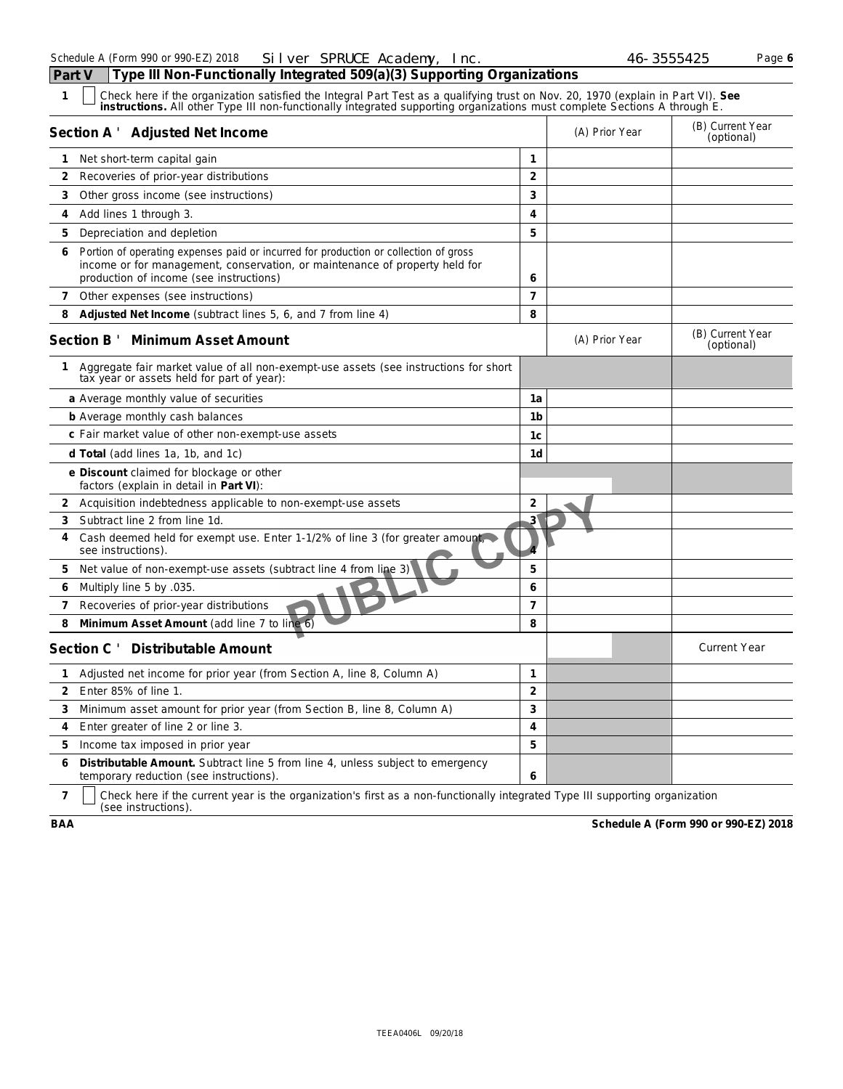| c |  |
|---|--|
|   |  |

| 1              | Check here if the organization satisfied the Integral Part Test as a qualifying trust on Nov. 20, 1970 (explain in Part VI). See<br>instructions. All other Type III non-functionally integrated supporting organizations must complete Sections A through E. |                       |                |                                |
|----------------|---------------------------------------------------------------------------------------------------------------------------------------------------------------------------------------------------------------------------------------------------------------|-----------------------|----------------|--------------------------------|
|                | Section A ' Adjusted Net Income                                                                                                                                                                                                                               |                       | (A) Prior Year | (B) Current Year<br>(optional) |
| $\mathbf{1}$   | Net short-term capital gain                                                                                                                                                                                                                                   | $\mathbf{1}$          |                |                                |
| 2              | Recoveries of prior-year distributions                                                                                                                                                                                                                        | $\overline{2}$        |                |                                |
| 3              | Other gross income (see instructions)                                                                                                                                                                                                                         | 3                     |                |                                |
| 4              | Add lines 1 through 3.                                                                                                                                                                                                                                        | 4                     |                |                                |
| 5              | Depreciation and depletion                                                                                                                                                                                                                                    | 5                     |                |                                |
| 6              | Portion of operating expenses paid or incurred for production or collection of gross<br>income or for management, conservation, or maintenance of property held for<br>production of income (see instructions)                                                | 6                     |                |                                |
| 7 <sup>7</sup> | Other expenses (see instructions)                                                                                                                                                                                                                             | $\overline{7}$        |                |                                |
| 8              | Adjusted Net Income (subtract lines 5, 6, and 7 from line 4)                                                                                                                                                                                                  | 8                     |                |                                |
|                | Section B ' Minimum Asset Amount                                                                                                                                                                                                                              |                       | (A) Prior Year | (B) Current Year<br>(optional) |
| $\mathbf{1}$   | Aggregate fair market value of all non-exempt-use assets (see instructions for short<br>tax year or assets held for part of year):                                                                                                                            |                       |                |                                |
|                | a Average monthly value of securities                                                                                                                                                                                                                         | 1a                    |                |                                |
|                | <b>b</b> Average monthly cash balances                                                                                                                                                                                                                        | 1 <sub>b</sub>        |                |                                |
|                | c Fair market value of other non-exempt-use assets                                                                                                                                                                                                            | 1c                    |                |                                |
|                | d Total (add lines 1a, 1b, and 1c)                                                                                                                                                                                                                            | 1 <sub>d</sub>        |                |                                |
|                | e Discount claimed for blockage or other<br>factors (explain in detail in Part VI):                                                                                                                                                                           |                       |                |                                |
|                | 2 Acquisition indebtedness applicable to non-exempt-use assets                                                                                                                                                                                                | $\overline{2}$        |                |                                |
| 3              | Subtract line 2 from line 1d.                                                                                                                                                                                                                                 | $\mathbf{3}^{\prime}$ |                |                                |
| 4              | Cash deemed held for exempt use. Enter 1-1/2% of line 3 (for greater amount,<br>see instructions).                                                                                                                                                            |                       |                |                                |
| 5              | Net value of non-exempt-use assets (subtract line 4 from line 3)                                                                                                                                                                                              | 5                     |                |                                |
| 6              | Multiply line 5 by .035.                                                                                                                                                                                                                                      | 6                     |                |                                |
| 7              | Recoveries of prior-year distributions                                                                                                                                                                                                                        | $\overline{7}$        |                |                                |
| 8              | Minimum Asset Amount (add line 7 to line 6)                                                                                                                                                                                                                   | 8                     |                |                                |
|                | Section C ' Distributable Amount                                                                                                                                                                                                                              |                       |                | <b>Current Year</b>            |
| 1.             | Adjusted net income for prior year (from Section A, line 8, Column A)                                                                                                                                                                                         | $\mathbf{1}$          |                |                                |
| $\overline{2}$ | Enter 85% of line 1.                                                                                                                                                                                                                                          | $\overline{2}$        |                |                                |
| 3              | Minimum asset amount for prior year (from Section B, line 8, Column A)                                                                                                                                                                                        | 3                     |                |                                |
| 4              | Enter greater of line 2 or line 3.                                                                                                                                                                                                                            | $\overline{4}$        |                |                                |
| 5              | Income tax imposed in prior year                                                                                                                                                                                                                              | 5                     |                |                                |
| 6              | Distributable Amount. Subtract line 5 from line 4, unless subject to emergency<br>temporary reduction (see instructions).                                                                                                                                     | 6                     |                |                                |
|                |                                                                                                                                                                                                                                                               |                       |                |                                |

**7** Check here if the current year is the organization's first as a non-functionally integrated Type III supporting organization (see instructions).

**BAA Schedule A (Form 990 or 990-EZ) 2018**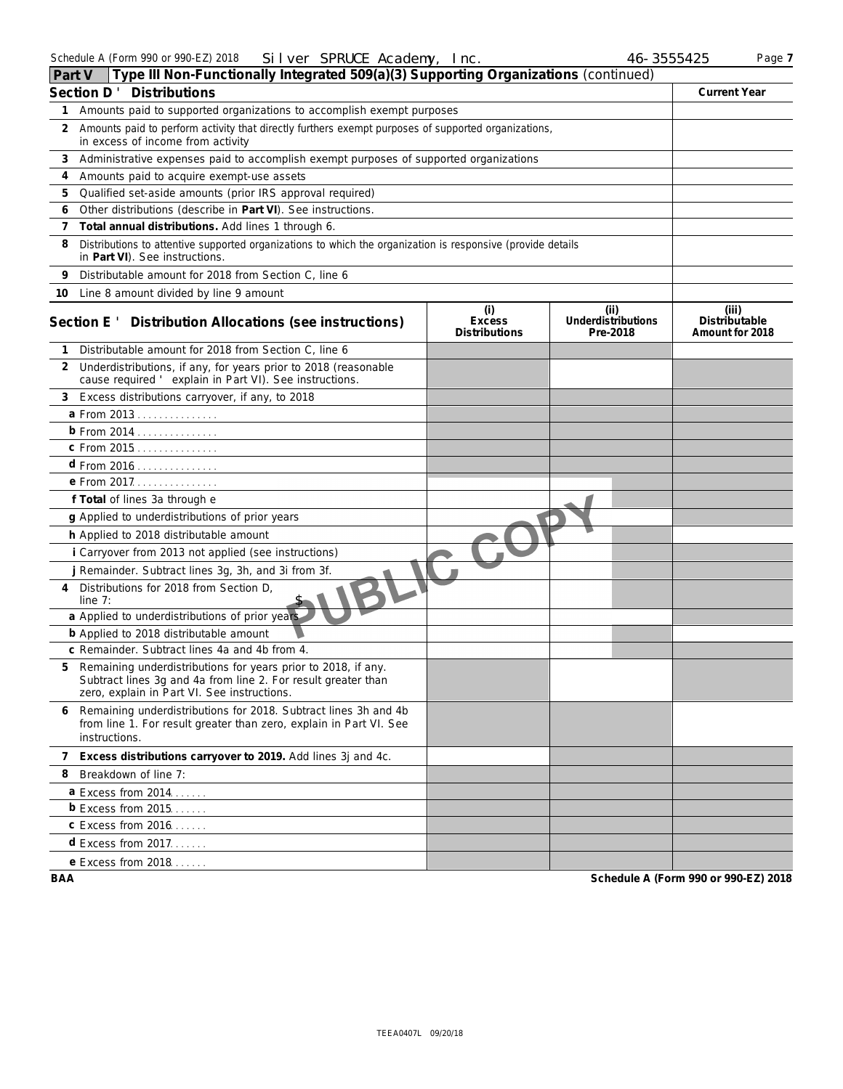| Type III Non-Functionally Integrated 509(a)(3) Supporting Organizations (continued)<br>Part V                                                                                      |                                                                                                     |                                              |                                        |                                           |  |  |  |  |
|------------------------------------------------------------------------------------------------------------------------------------------------------------------------------------|-----------------------------------------------------------------------------------------------------|----------------------------------------------|----------------------------------------|-------------------------------------------|--|--|--|--|
| <b>Distributions</b><br>Section D'                                                                                                                                                 |                                                                                                     |                                              |                                        |                                           |  |  |  |  |
|                                                                                                                                                                                    | 1 Amounts paid to supported organizations to accomplish exempt purposes                             |                                              |                                        |                                           |  |  |  |  |
| 2<br>in excess of income from activity                                                                                                                                             | Amounts paid to perform activity that directly furthers exempt purposes of supported organizations, |                                              |                                        |                                           |  |  |  |  |
| Administrative expenses paid to accomplish exempt purposes of supported organizations<br>3                                                                                         |                                                                                                     |                                              |                                        |                                           |  |  |  |  |
| Amounts paid to acquire exempt-use assets<br>4                                                                                                                                     |                                                                                                     |                                              |                                        |                                           |  |  |  |  |
| Qualified set-aside amounts (prior IRS approval required)<br>5                                                                                                                     |                                                                                                     |                                              |                                        |                                           |  |  |  |  |
| Other distributions (describe in Part VI). See instructions.<br>6                                                                                                                  |                                                                                                     |                                              |                                        |                                           |  |  |  |  |
| Total annual distributions. Add lines 1 through 6.<br>$\overline{7}$                                                                                                               |                                                                                                     |                                              |                                        |                                           |  |  |  |  |
| 8<br>Distributions to attentive supported organizations to which the organization is responsive (provide details<br>in Part VI). See instructions.                                 |                                                                                                     |                                              |                                        |                                           |  |  |  |  |
| Distributable amount for 2018 from Section C, line 6<br>9                                                                                                                          |                                                                                                     |                                              |                                        |                                           |  |  |  |  |
| 10 Line 8 amount divided by line 9 amount                                                                                                                                          |                                                                                                     |                                              |                                        |                                           |  |  |  |  |
| Section E ' Distribution Allocations (see instructions)                                                                                                                            |                                                                                                     | (i)<br><b>Excess</b><br><b>Distributions</b> | (ii)<br>Underdistributions<br>Pre-2018 | (iii)<br>Distributable<br>Amount for 2018 |  |  |  |  |
| Distributable amount for 2018 from Section C, line 6<br>1                                                                                                                          |                                                                                                     |                                              |                                        |                                           |  |  |  |  |
| Underdistributions, if any, for years prior to 2018 (reasonable<br>2<br>cause required ' explain in Part VI). See instructions.                                                    |                                                                                                     |                                              |                                        |                                           |  |  |  |  |
| Excess distributions carryover, if any, to 2018<br>3                                                                                                                               |                                                                                                     |                                              |                                        |                                           |  |  |  |  |
| a From 2013                                                                                                                                                                        |                                                                                                     |                                              |                                        |                                           |  |  |  |  |
| b From 2014                                                                                                                                                                        |                                                                                                     |                                              |                                        |                                           |  |  |  |  |
| c From 2015                                                                                                                                                                        |                                                                                                     |                                              |                                        |                                           |  |  |  |  |
| d From 2016 <u>.</u>                                                                                                                                                               |                                                                                                     |                                              |                                        |                                           |  |  |  |  |
| e From 2017.                                                                                                                                                                       |                                                                                                     |                                              |                                        |                                           |  |  |  |  |
| f Total of lines 3a through e                                                                                                                                                      |                                                                                                     |                                              |                                        |                                           |  |  |  |  |
| g Applied to underdistributions of prior years                                                                                                                                     |                                                                                                     |                                              |                                        |                                           |  |  |  |  |
| h Applied to 2018 distributable amount                                                                                                                                             |                                                                                                     |                                              |                                        |                                           |  |  |  |  |
| i Carryover from 2013 not applied (see instructions)                                                                                                                               |                                                                                                     |                                              |                                        |                                           |  |  |  |  |
| j Remainder. Subtract lines 3g, 3h, and 3i from 3f.                                                                                                                                |                                                                                                     |                                              |                                        |                                           |  |  |  |  |
| Distributions for 2018 from Section D,<br>4<br>line $7:$                                                                                                                           |                                                                                                     |                                              |                                        |                                           |  |  |  |  |
| a Applied to underdistributions of prior years                                                                                                                                     |                                                                                                     |                                              |                                        |                                           |  |  |  |  |
| <b>b</b> Applied to 2018 distributable amount                                                                                                                                      |                                                                                                     |                                              |                                        |                                           |  |  |  |  |
| c Remainder. Subtract lines 4a and 4b from 4.                                                                                                                                      |                                                                                                     |                                              |                                        |                                           |  |  |  |  |
| Remaining underdistributions for years prior to 2018, if any.<br>5<br>Subtract lines 3g and 4a from line 2. For result greater than<br>zero, explain in Part VI. See instructions. |                                                                                                     |                                              |                                        |                                           |  |  |  |  |
| Remaining underdistributions for 2018. Subtract lines 3h and 4b<br>6<br>from line 1. For result greater than zero, explain in Part VI. See<br>instructions.                        |                                                                                                     |                                              |                                        |                                           |  |  |  |  |
| 7 Excess distributions carryover to 2019. Add lines 3j and 4c.                                                                                                                     |                                                                                                     |                                              |                                        |                                           |  |  |  |  |
| Breakdown of line 7:<br>8                                                                                                                                                          |                                                                                                     |                                              |                                        |                                           |  |  |  |  |
| <b>a</b> Excess from 2014                                                                                                                                                          |                                                                                                     |                                              |                                        |                                           |  |  |  |  |
| $b$ Excess from 2015                                                                                                                                                               |                                                                                                     |                                              |                                        |                                           |  |  |  |  |
| <b>c</b> Excess from 2016                                                                                                                                                          |                                                                                                     |                                              |                                        |                                           |  |  |  |  |
| $d$ Excess from 2017.                                                                                                                                                              |                                                                                                     |                                              |                                        |                                           |  |  |  |  |
| e Excess from 2018.                                                                                                                                                                |                                                                                                     |                                              |                                        |                                           |  |  |  |  |
|                                                                                                                                                                                    |                                                                                                     |                                              |                                        |                                           |  |  |  |  |

**BAA Schedule A (Form 990 or 990-EZ) 2018**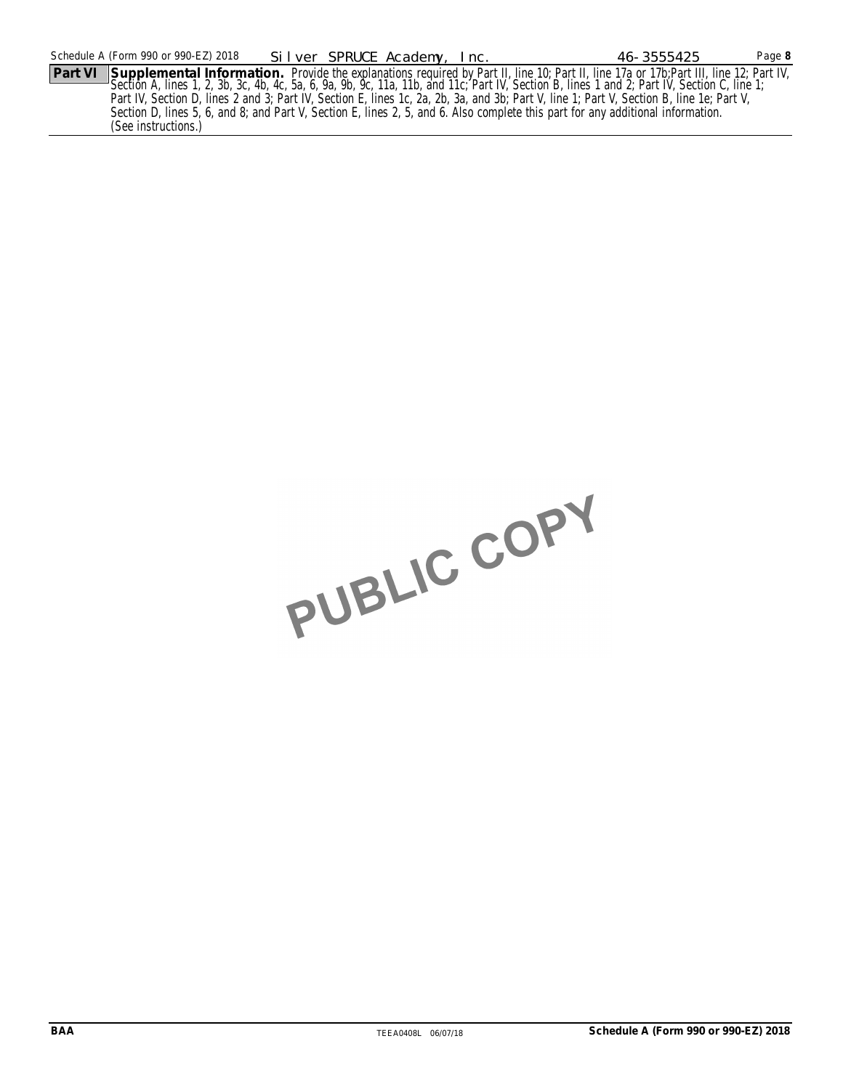Section A, lines 1, 2, 3b, 3c, 4b, 4c, 5a, 6, 9a, 9b, 9c, 11a, 11b, and 11c; Part IV, Section B, lines 1 and 2; Part IV, Section C, line 1; Part IV, Section D, lines 2 and 3; Part IV, Section E, lines 1c, 2a, 2b, 3a, and 3b; Part V, line 1; Part V, Section B, line 1e; Part V, Section D, lines 5, 6, and 8; and Part V, Section E, lines 2, 5, and 6. Also complete this part for any additional information. (See instructions.)

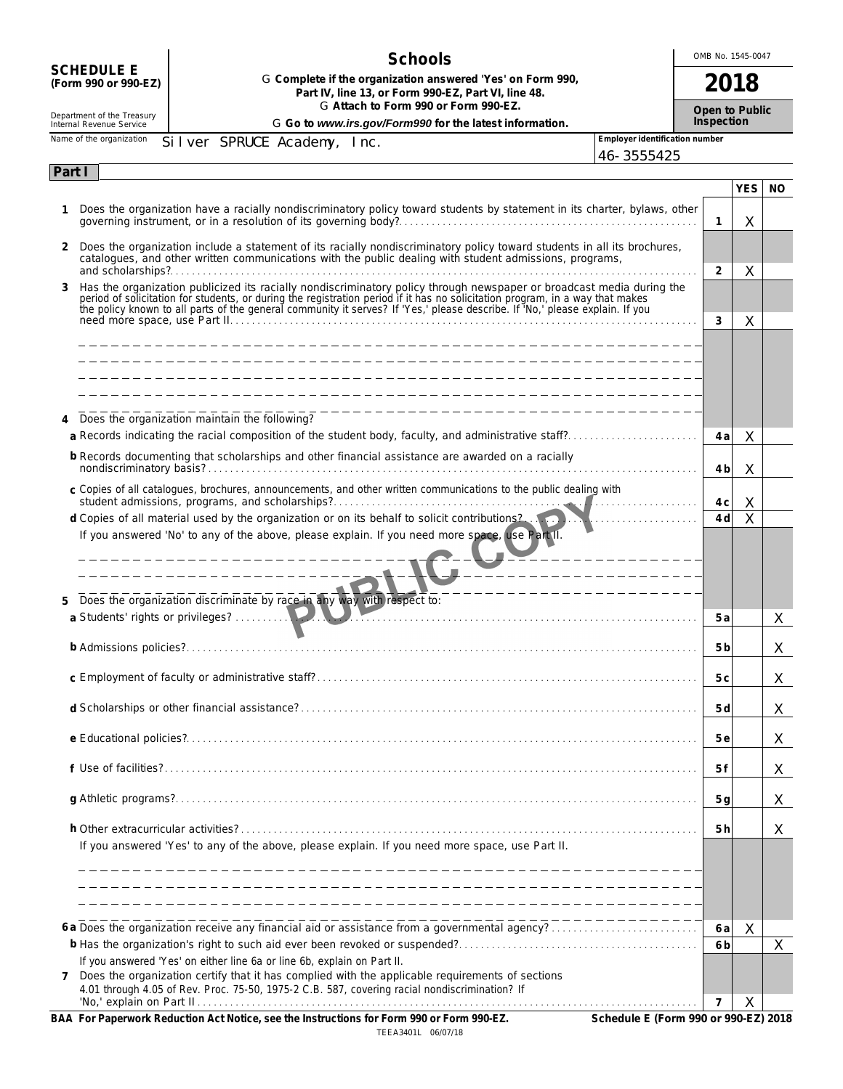|                                                        | <b>Schools</b>                                                                                                                                                                                                                      |                                | OMB No. 1545-0047 |                |                              |     |
|--------------------------------------------------------|-------------------------------------------------------------------------------------------------------------------------------------------------------------------------------------------------------------------------------------|--------------------------------|-------------------|----------------|------------------------------|-----|
| <b>SCHEDULE E</b><br>(Form 990 or 990-EZ)              | G Complete if the organization answered 'Yes' on Form 990,<br>Part IV, line 13, or Form 990-EZ, Part VI, line 48.<br>G Attach to Form 990 or Form 990-EZ.                                                                           |                                |                   | 2018           |                              |     |
| Department of the Treasury<br>Internal Revenue Service | G Go to www.irs.gov/Form990 for the latest information.                                                                                                                                                                             |                                |                   |                | Open to Public<br>Inspection |     |
| Name of the organization                               | Silver SPRUCE Academy, Inc.                                                                                                                                                                                                         | Employer identification number |                   |                |                              |     |
|                                                        |                                                                                                                                                                                                                                     | 46-3555425                     |                   |                |                              |     |
| Part I                                                 |                                                                                                                                                                                                                                     |                                |                   |                | <b>YES</b>                   | NO. |
| 1                                                      | Does the organization have a racially nondiscriminatory policy toward students by statement in its charter, bylaws, other                                                                                                           |                                | $\mathbf{1}$      |                | X                            |     |
| $\mathbf{2}$                                           | Does the organization include a statement of its racially nondiscriminatory policy toward students in all its brochures,<br>catalogues, and other written communications with the public dealing with student admissions, programs, |                                |                   |                |                              |     |
|                                                        |                                                                                                                                                                                                                                     |                                | 2                 |                | X                            |     |
| 3                                                      | Has the organization publicized its racially nondiscriminatory policy through newspaper or broadcast media during the period of solicitation for students, or during the registration period if it has no solicitation program      |                                |                   |                |                              |     |
|                                                        |                                                                                                                                                                                                                                     |                                | 3                 |                | X                            |     |
|                                                        |                                                                                                                                                                                                                                     |                                |                   |                |                              |     |
|                                                        |                                                                                                                                                                                                                                     |                                |                   |                |                              |     |
|                                                        |                                                                                                                                                                                                                                     |                                |                   |                |                              |     |
|                                                        | ---------------------------<br>Does the organization maintain the following?                                                                                                                                                        |                                |                   |                |                              |     |
|                                                        | a Records indicating the racial composition of the student body, faculty, and administrative staff?                                                                                                                                 |                                |                   | 4 a            | X                            |     |
|                                                        | b Records documenting that scholarships and other financial assistance are awarded on a racially                                                                                                                                    |                                |                   | 4 b            | X                            |     |
|                                                        | c Copies of all catalogues, brochures, announcements, and other written communications to the public dealing with                                                                                                                   |                                |                   |                |                              |     |
|                                                        |                                                                                                                                                                                                                                     |                                |                   | 4 c            | X                            |     |
|                                                        | d Copies of all material used by the organization or on its behalf to solicit contributions2.                                                                                                                                       |                                |                   | 4 d            | Χ                            |     |
|                                                        | If you answered 'No' to any of the above, please explain. If you need more space, use Part II.                                                                                                                                      |                                |                   |                |                              |     |
|                                                        | ------------------------------                                                                                                                                                                                                      |                                |                   |                |                              |     |
|                                                        | ------------------                                                                                                                                                                                                                  |                                |                   |                |                              |     |
| 5                                                      | Does the organization discriminate by race in any way with respect to:                                                                                                                                                              |                                |                   |                |                              |     |
|                                                        | a Students' rights or privileges?                                                                                                                                                                                                   |                                |                   | 5 a            |                              | X   |
|                                                        |                                                                                                                                                                                                                                     |                                |                   | 5 b            |                              | X   |
|                                                        |                                                                                                                                                                                                                                     |                                |                   | 5 c            |                              | X   |
|                                                        |                                                                                                                                                                                                                                     |                                |                   | 5 d            |                              | X   |
|                                                        |                                                                                                                                                                                                                                     |                                |                   | 5 e            |                              | X   |
|                                                        |                                                                                                                                                                                                                                     |                                |                   | 5 f            |                              | X   |
|                                                        |                                                                                                                                                                                                                                     |                                |                   | 5g             |                              | X   |
|                                                        | If you answered 'Yes' to any of the above, please explain. If you need more space, use Part II.                                                                                                                                     |                                |                   | 5 <sub>h</sub> |                              | X   |
|                                                        |                                                                                                                                                                                                                                     |                                |                   |                |                              |     |
|                                                        |                                                                                                                                                                                                                                     |                                |                   |                |                              |     |
|                                                        |                                                                                                                                                                                                                                     |                                |                   |                |                              |     |
|                                                        |                                                                                                                                                                                                                                     |                                |                   |                |                              |     |
|                                                        | 6 a Does the organization receive any financial aid or assistance from a governmental agency?                                                                                                                                       |                                |                   | 6 a<br>6 b     | X                            | X   |
|                                                        | If you answered 'Yes' on either line 6a or line 6b, explain on Part II.                                                                                                                                                             |                                |                   |                |                              |     |
| $\mathbf{7}$                                           | Does the organization certify that it has complied with the applicable requirements of sections<br>4.01 through 4.05 of Rev. Proc. 75-50, 1975-2 C.B. 587, covering racial nondiscrimination? If                                    |                                |                   |                |                              |     |
|                                                        |                                                                                                                                                                                                                                     |                                | 7                 |                | X                            |     |

**BAA For Paperwork Reduction Act Notice, see the Instructions for Form 990 or Form 990-EZ. Schedule E (Form 990 or 990-EZ) 2018** TEEA3401L 06/07/18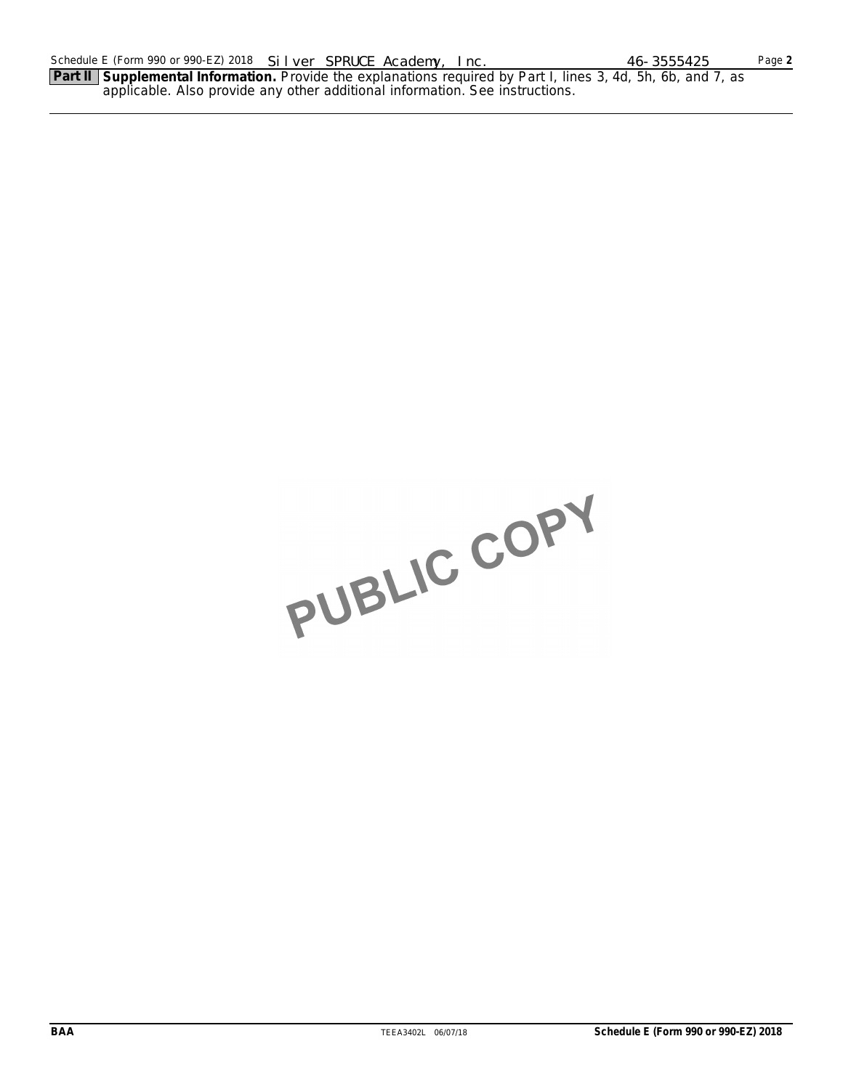**Part II Supplemental Information.** Provide the explanations required by Part I, lines 3, 4d, 5h, 6b, and 7, as applicable. Also provide any other additional information. See instructions.

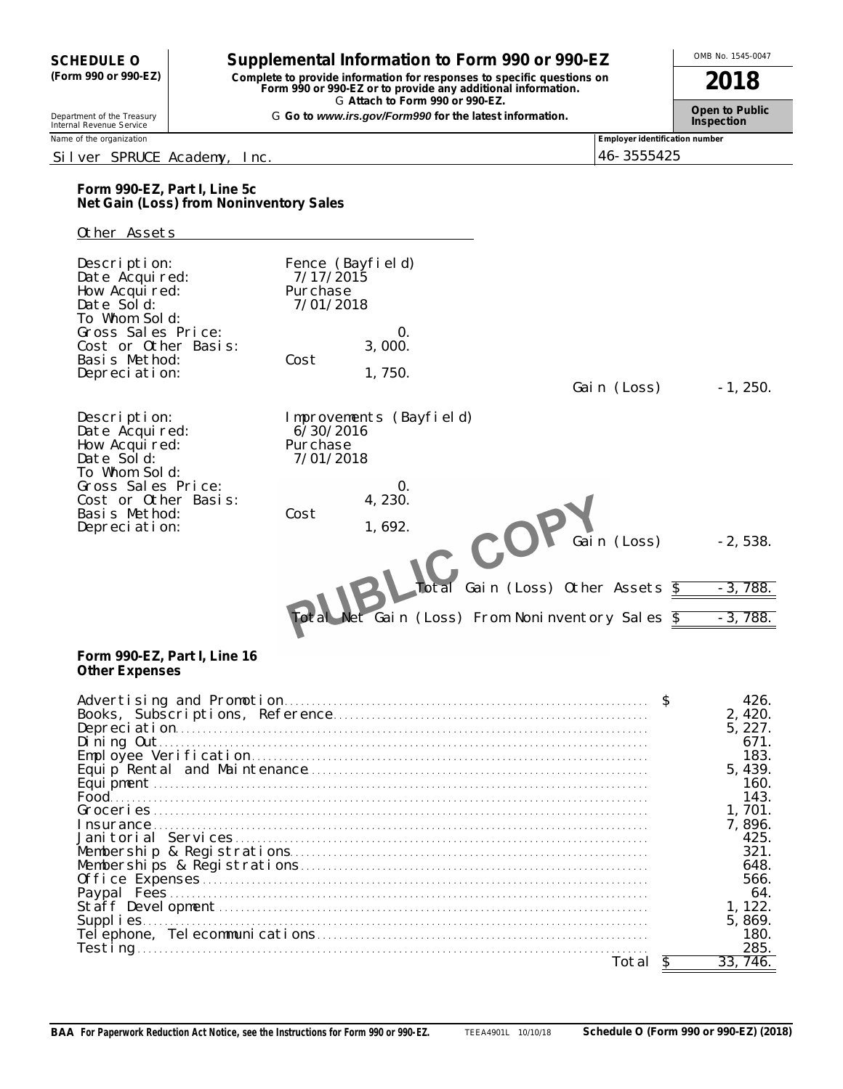# **OMB No. 1545-0047 Supplemental Information to Form 990 or 990-EZ** Allowship Mo. 1545-0047

**(Form 990 or 990-EZ) Complete to provide information for responses to specific questions on Form 990 or 990-EZ or to provide any additional information. 2018** G **Attach to Form 990 or 990-EZ.**

Department of the Treasury **Canadian Construct Construct Construct Construct Construct Construct Construct Const<br>Internal Revenue Service <b>Inspection** 

# Silver SPRUCE Academy, Inc. 46-3555425

Name of the organization **Employer identification number Employer identification number Employer identification number** 

# **Form 990-EZ, Part I, Line 5c Net Gain (Loss) from Noninventory Sales**

### Other Assets

| Description:<br>Date Acquired:<br>How Acquired:<br>Date Sold:<br>To Whom Sold:<br>Gross Sales Price:<br>Cost or Other Basis:<br>Basis Method:<br>Depreciation: | 7/17/2015<br>Purchase<br>7/01/2018<br>Cost | Fence (Bayfield)<br>0.<br>3,000.<br>1,750.                       | Gain (Loss)                              | $-1, 250.$             |
|----------------------------------------------------------------------------------------------------------------------------------------------------------------|--------------------------------------------|------------------------------------------------------------------|------------------------------------------|------------------------|
| Description:<br>Date Acquired:<br>How Acquired:<br>Date Sold:<br>To Whom Sold:                                                                                 | 6/30/2016<br>Purchase<br>7/01/2018         | Improvements (Bayfield)                                          |                                          |                        |
| Gross Sales Price:<br>Cost or Other Basis:<br>Basis Method:<br>Depreciation:                                                                                   | Cost                                       | 0.<br>4, 230.<br>1,692.<br>C                                     | Gain (Loss)                              | $-2,538.$              |
|                                                                                                                                                                |                                            | Total<br>Net Gain (Loss) From Noninventory Sales $\overline{\$}$ | Gain (Loss) Other Assets $\overline{\$}$ | $-3,788.$<br>$-3,788.$ |

## **Form 990-EZ, Part I, Line 16 Other Expenses**

|          | $\mathfrak{L}$ | 426<br>2.420.<br>5, 227<br>671<br>183.<br>5, 439.<br>160.<br>143.<br>. 701.<br>7.896.<br>425<br>321.<br>648.<br>566.<br>-64.<br>122.<br>5, 869. |
|----------|----------------|-------------------------------------------------------------------------------------------------------------------------------------------------|
| Testing. |                | 180.<br>285.                                                                                                                                    |
| otal     |                | 746                                                                                                                                             |